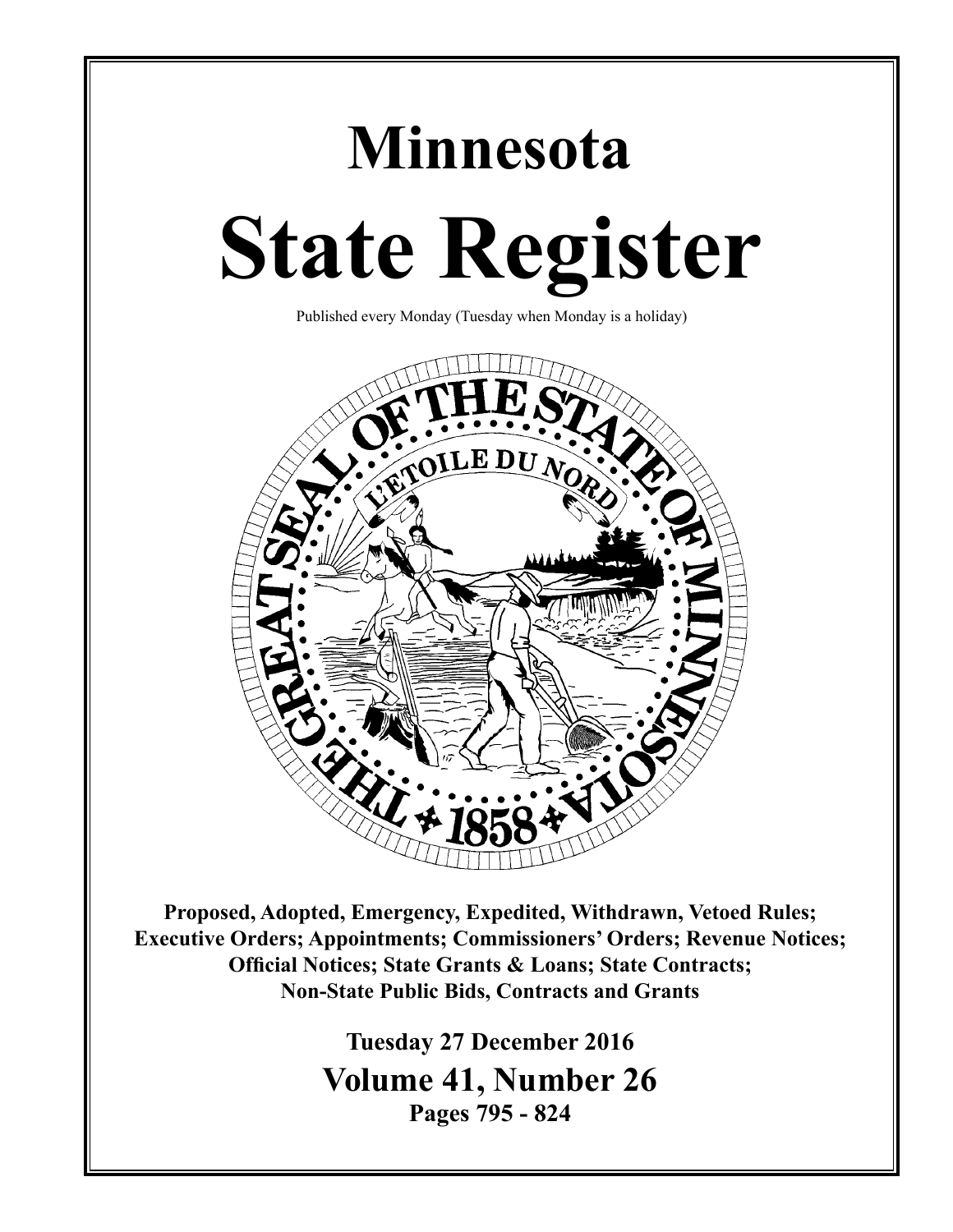# **Minnesota State Register**

Published every Monday (Tuesday when Monday is a holiday)



**Proposed, Adopted, Emergency, Expedited, Withdrawn, Vetoed Rules; Executive Orders; Appointments; Commissioners' Orders; Revenue Notices; Official Notices; State Grants & Loans; State Contracts; Non-State Public Bids, Contracts and Grants**

> **Tuesday 27 December 2016 Volume 41, Number 26 Pages 795 - 824**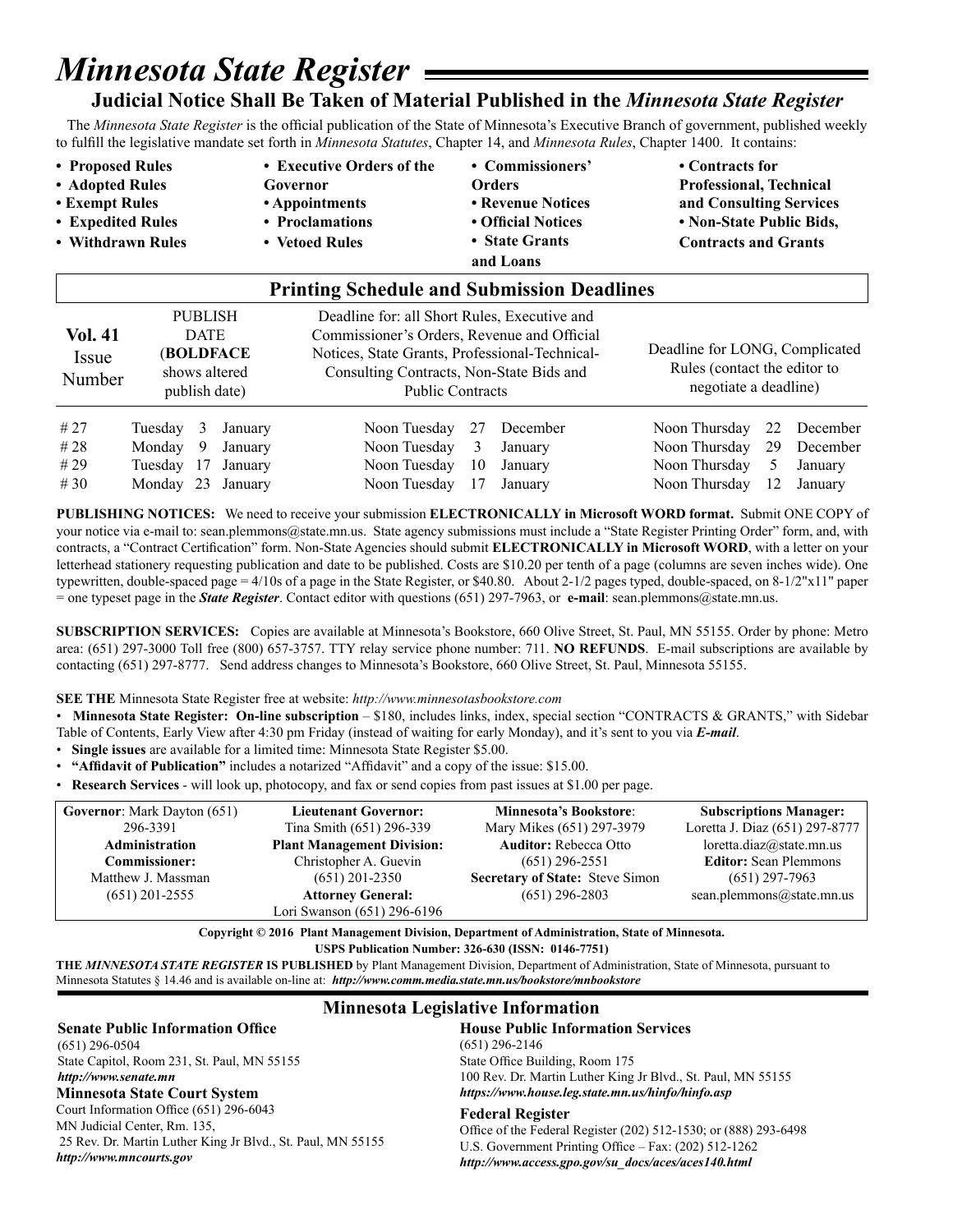## *Minnesota State Register*

## **Judicial Notice Shall Be Taken of Material Published in the** *Minnesota State Register*

 The *Minnesota State Register* is the official publication of the State of Minnesota's Executive Branch of government, published weekly to fulfill the legislative mandate set forth in *Minnesota Statutes*, Chapter 14, and *Minnesota Rules*, Chapter 1400. It contains:

• Proposed Rules **•** Executive Orders of the • Commissioners' • Contracts for **• Adopted Rules Governor Orders Professional, Technical • Exempt Rules • Appointments • Revenue Notices and Consulting Services • Expedited Rules • Proclamations • Official Notices • Non-State Public Bids,**  • Withdrawn Rules • Vetoed Rules • State Grants **Contracts and Grants and Loans** 

|                            |                                                                              |    |         | <b>Printing Schedule and Submission Deadlines</b>                                                                                                                                                                    |                                                                                         |          |               |    |          |
|----------------------------|------------------------------------------------------------------------------|----|---------|----------------------------------------------------------------------------------------------------------------------------------------------------------------------------------------------------------------------|-----------------------------------------------------------------------------------------|----------|---------------|----|----------|
| Vol. 41<br>Issue<br>Number | <b>PUBLISH</b><br><b>DATE</b><br>(BOLDFACE<br>shows altered<br>publish date) |    |         | Deadline for: all Short Rules, Executive and<br>Commissioner's Orders, Revenue and Official<br>Notices, State Grants, Professional-Technical-<br>Consulting Contracts, Non-State Bids and<br><b>Public Contracts</b> | Deadline for LONG, Complicated<br>Rules (contact the editor to<br>negotiate a deadline) |          |               |    |          |
| #27                        | Tuesday                                                                      | 3  | January | Noon Tuesday                                                                                                                                                                                                         | 27                                                                                      | December | Noon Thursday | 22 | December |
| # 28                       | Monday                                                                       | 9  | January | Noon Tuesday                                                                                                                                                                                                         | 3                                                                                       | January  | Noon Thursday | 29 | December |
| # 29                       | Tuesdav                                                                      | 17 | January | Noon Tuesday                                                                                                                                                                                                         | 10                                                                                      | January  | Noon Thursday | 5  | January  |
| #30                        | Monday                                                                       | 23 | January | Noon Tuesday                                                                                                                                                                                                         | 17                                                                                      | January  | Noon Thursday | 12 | January  |

**PUBLISHING NOTICES:** We need to receive your submission **ELECTRONICALLY in Microsoft WORD format.** Submit ONE COPY of your notice via e-mail to: sean.plemmons@state.mn.us. State agency submissions must include a "State Register Printing Order" form, and, with contracts, a "Contract Certification" form. Non-State Agencies should submit **ELECTRONICALLY in Microsoft WORD**, with a letter on your letterhead stationery requesting publication and date to be published. Costs are \$10.20 per tenth of a page (columns are seven inches wide). One typewritten, double-spaced page = 4/10s of a page in the State Register, or \$40.80. About 2-1/2 pages typed, double-spaced, on 8-1/2"x11" paper = one typeset page in the *State Register*. Contact editor with questions (651) 297-7963, or **e-mail**: sean.plemmons@state.mn.us.

**SUBSCRIPTION SERVICES:** Copies are available at Minnesota's Bookstore, 660 Olive Street, St. Paul, MN 55155. Order by phone: Metro area: (651) 297-3000 Toll free (800) 657-3757. TTY relay service phone number: 711. **NO REFUNDS**. E-mail subscriptions are available by contacting (651) 297-8777. Send address changes to Minnesota's Bookstore, 660 Olive Street, St. Paul, Minnesota 55155.

#### **SEE THE** Minnesota State Register free at website: *http://www.minnesotasbookstore.com*

• **Minnesota State Register: On-line subscription** – \$180, includes links, index, special section "CONTRACTS & GRANTS," with Sidebar Table of Contents, Early View after 4:30 pm Friday (instead of waiting for early Monday), and it's sent to you via *E-mail*.

- **Single issues** are available for a limited time: Minnesota State Register \$5.00.
- **"Affidavit of Publication"** includes a notarized "Affidavit" and a copy of the issue: \$15.00.
- **Research Services** will look up, photocopy, and fax or send copies from past issues at \$1.00 per page.

| <b>Governor:</b> Mark Dayton (651) | <b>Lieutenant Governor:</b>       | <b>Minnesota's Bookstore:</b>          | <b>Subscriptions Manager:</b>  |
|------------------------------------|-----------------------------------|----------------------------------------|--------------------------------|
| 296-3391                           | Tina Smith (651) 296-339          | Mary Mikes (651) 297-3979              | Loretta J. Diaz (651) 297-8777 |
| <b>Administration</b>              | <b>Plant Management Division:</b> | <b>Auditor:</b> Rebecca Otto           | loretta.diaz@state.mn.us       |
| <b>Commissioner:</b>               | Christopher A. Guevin             | $(651)$ 296-2551                       | <b>Editor:</b> Sean Plemmons   |
| Matthew J. Massman                 | $(651)$ 201-2350                  | <b>Secretary of State: Steve Simon</b> | $(651)$ 297-7963               |
| $(651)$ 201-2555                   | <b>Attorney General:</b>          | $(651)$ 296-2803                       | sean.plemmons@state.mn.us      |
|                                    | Lori Swanson (651) 296-6196       |                                        |                                |

**Copyright © 2016 Plant Management Division, Department of Administration, State of Minnesota. USPS Publication Number: 326-630 (ISSN: 0146-7751)**

**THE** *MINNESOTA STATE REGISTER* **IS PUBLISHED** by Plant Management Division, Department of Administration, State of Minnesota, pursuant to Minnesota Statutes § 14.46 and is available on-line at: *http://www.comm.media.state.mn.us/bookstore/mnbookstore* 

#### **Senate Public Information Office**

(651) 296-0504 State Capitol, Room 231, St. Paul, MN 55155 *http://www.senate.mn*

Court Information Office (651) 296-6043 MN Judicial Center, Rm. 135, 25 Rev. Dr. Martin Luther King Jr Blvd., St. Paul, MN 55155 *http://www.mncourts.gov*

### **Minnesota Legislative Information**

#### **House Public Information Services**

(651) 296-2146 State Office Building, Room 175 100 Rev. Dr. Martin Luther King Jr Blvd., St. Paul, MN 55155 **Minnesota State Court System** *https://www.house.leg.state.mn.us/hinfo/hinfo.asp*

#### **Federal Register**

Office of the Federal Register (202) 512-1530; or (888) 293-6498 U.S. Government Printing Office – Fax: (202) 512-1262 *http://www.access.gpo.gov/su\_docs/aces/aces140.html*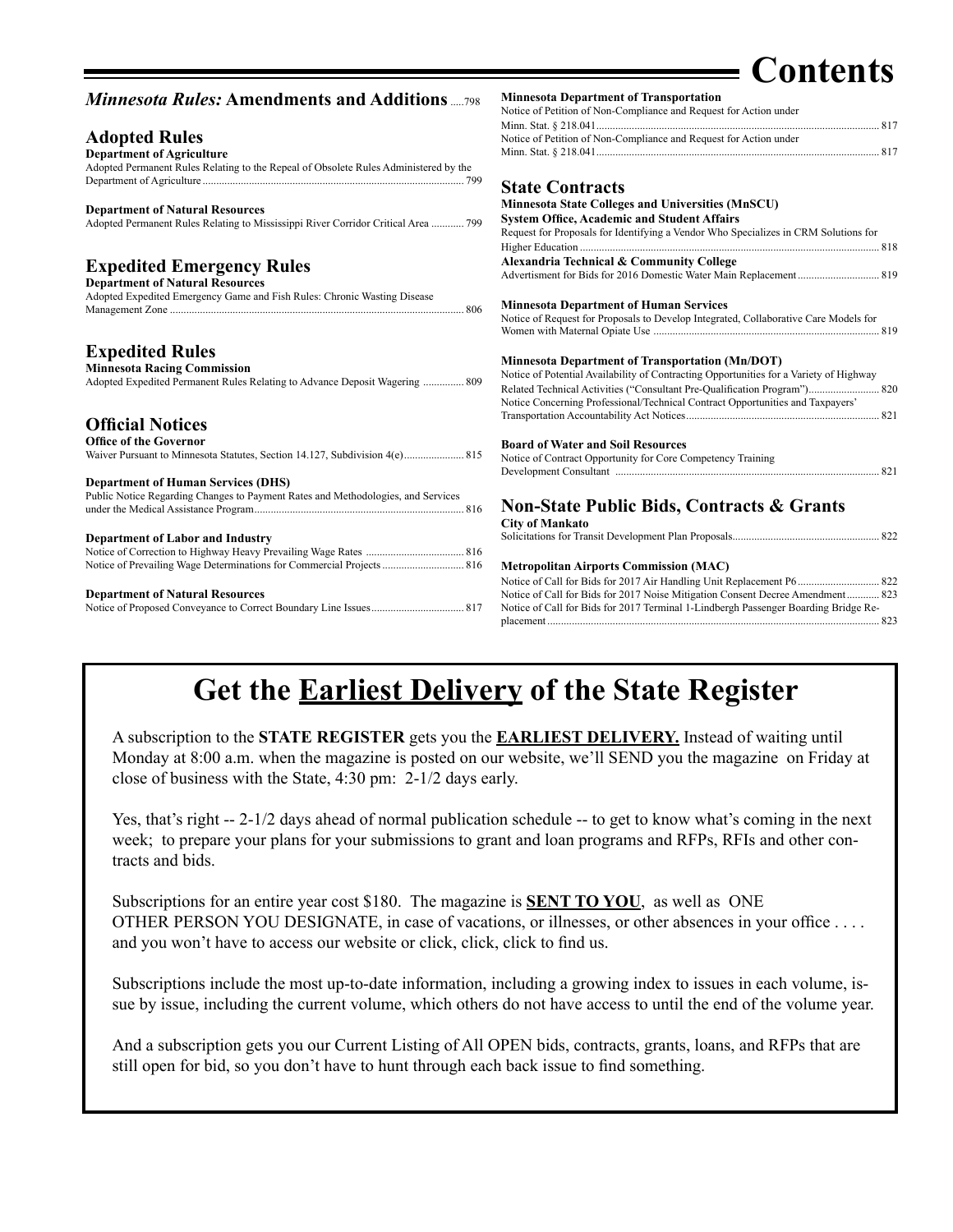## **Contents**

| <b>Minnesota Rules: Amendments and Additions</b> 798                                                               | <b>Minnesota Department of Transportation</b>                                          |
|--------------------------------------------------------------------------------------------------------------------|----------------------------------------------------------------------------------------|
|                                                                                                                    | Notice of Petition of Non-Compliance and Request for Action under                      |
|                                                                                                                    |                                                                                        |
| <b>Adopted Rules</b>                                                                                               | Notice of Petition of Non-Compliance and Request for Action under                      |
| <b>Department of Agriculture</b>                                                                                   |                                                                                        |
| Adopted Permanent Rules Relating to the Repeal of Obsolete Rules Administered by the                               |                                                                                        |
|                                                                                                                    | <b>State Contracts</b>                                                                 |
|                                                                                                                    | <b>Minnesota State Colleges and Universities (MnSCU)</b>                               |
| <b>Department of Natural Resources</b>                                                                             | <b>System Office, Academic and Student Affairs</b>                                     |
| Adopted Permanent Rules Relating to Mississippi River Corridor Critical Area  799                                  | Request for Proposals for Identifying a Vendor Who Specializes in CRM Solutions for    |
|                                                                                                                    |                                                                                        |
| <b>Expedited Emergency Rules</b>                                                                                   | Alexandria Technical & Community College                                               |
|                                                                                                                    |                                                                                        |
| <b>Department of Natural Resources</b><br>Adopted Expedited Emergency Game and Fish Rules: Chronic Wasting Disease |                                                                                        |
|                                                                                                                    | <b>Minnesota Department of Human Services</b>                                          |
|                                                                                                                    | Notice of Request for Proposals to Develop Integrated, Collaborative Care Models for   |
|                                                                                                                    |                                                                                        |
| <b>Expedited Rules</b>                                                                                             |                                                                                        |
|                                                                                                                    | <b>Minnesota Department of Transportation (Mn/DOT)</b>                                 |
| <b>Minnesota Racing Commission</b>                                                                                 | Notice of Potential Availability of Contracting Opportunities for a Variety of Highway |
| Adopted Expedited Permanent Rules Relating to Advance Deposit Wagering  809                                        | Related Technical Activities ("Consultant Pre-Qualification Program") 820              |
|                                                                                                                    | Notice Concerning Professional/Technical Contract Opportunities and Taxpayers'         |
|                                                                                                                    |                                                                                        |
| <b>Official Notices</b>                                                                                            |                                                                                        |
| <b>Office of the Governor</b>                                                                                      | <b>Board of Water and Soil Resources</b>                                               |
| Waiver Pursuant to Minnesota Statutes, Section 14.127, Subdivision 4(e) 815                                        | Notice of Contract Opportunity for Core Competency Training                            |
|                                                                                                                    |                                                                                        |
| <b>Department of Human Services (DHS)</b>                                                                          |                                                                                        |
| Public Notice Regarding Changes to Payment Rates and Methodologies, and Services                                   |                                                                                        |
|                                                                                                                    | <b>Non-State Public Bids, Contracts &amp; Grants</b>                                   |
|                                                                                                                    | <b>City of Mankato</b>                                                                 |
| <b>Department of Labor and Industry</b>                                                                            |                                                                                        |
|                                                                                                                    |                                                                                        |
|                                                                                                                    | <b>Metropolitan Airports Commission (MAC)</b>                                          |
|                                                                                                                    |                                                                                        |
| <b>Department of Natural Resources</b>                                                                             | Notice of Call for Bids for 2017 Noise Mitigation Consent Decree Amendment 823         |
|                                                                                                                    | Notice of Call for Bids for 2017 Terminal 1-Lindbergh Passenger Boarding Bridge Re-    |
|                                                                                                                    |                                                                                        |

## **Get the Earliest Delivery of the State Register**

A subscription to the **STATE REGISTER** gets you the **EARLIEST DELIVERY.** Instead of waiting until Monday at 8:00 a.m. when the magazine is posted on our website, we'll SEND you the magazine on Friday at close of business with the State, 4:30 pm: 2-1/2 days early.

Yes, that's right -- 2-1/2 days ahead of normal publication schedule -- to get to know what's coming in the next week; to prepare your plans for your submissions to grant and loan programs and RFPs, RFIs and other contracts and bids.

Subscriptions for an entire year cost \$180. The magazine is **SENT TO YOU**, as well as ONE OTHER PERSON YOU DESIGNATE, in case of vacations, or illnesses, or other absences in your office . . . . and you won't have to access our website or click, click, click to find us.

Subscriptions include the most up-to-date information, including a growing index to issues in each volume, issue by issue, including the current volume, which others do not have access to until the end of the volume year.

And a subscription gets you our Current Listing of All OPEN bids, contracts, grants, loans, and RFPs that are still open for bid, so you don't have to hunt through each back issue to find something.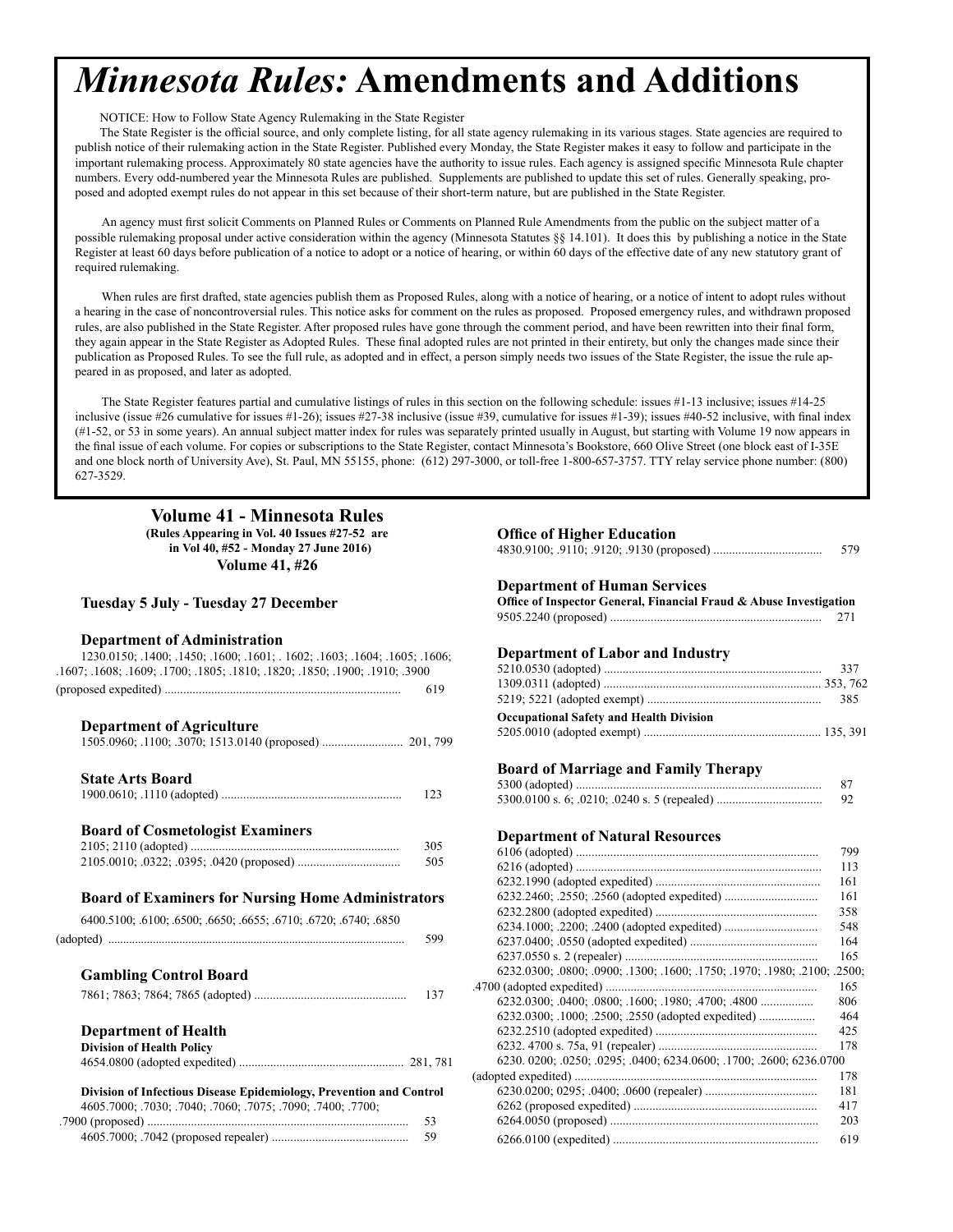## <span id="page-3-0"></span>*Minnesota Rules:* **Amendments and Additions**

NOTICE: How to Follow State Agency Rulemaking in the State Register

The State Register is the official source, and only complete listing, for all state agency rulemaking in its various stages. State agencies are required to publish notice of their rulemaking action in the State Register. Published every Monday, the State Register makes it easy to follow and participate in the important rulemaking process. Approximately 80 state agencies have the authority to issue rules. Each agency is assigned specific Minnesota Rule chapter numbers. Every odd-numbered year the Minnesota Rules are published. Supplements are published to update this set of rules. Generally speaking, proposed and adopted exempt rules do not appear in this set because of their short-term nature, but are published in the State Register.

An agency must first solicit Comments on Planned Rules or Comments on Planned Rule Amendments from the public on the subject matter of a possible rulemaking proposal under active consideration within the agency (Minnesota Statutes §§ 14.101). It does this by publishing a notice in the State Register at least 60 days before publication of a notice to adopt or a notice of hearing, or within 60 days of the effective date of any new statutory grant of required rulemaking.

When rules are first drafted, state agencies publish them as Proposed Rules, along with a notice of hearing, or a notice of intent to adopt rules without a hearing in the case of noncontroversial rules. This notice asks for comment on the rules as proposed. Proposed emergency rules, and withdrawn proposed rules, are also published in the State Register. After proposed rules have gone through the comment period, and have been rewritten into their final form, they again appear in the State Register as Adopted Rules. These final adopted rules are not printed in their entirety, but only the changes made since their publication as Proposed Rules. To see the full rule, as adopted and in effect, a person simply needs two issues of the State Register, the issue the rule appeared in as proposed, and later as adopted.

The State Register features partial and cumulative listings of rules in this section on the following schedule: issues #1-13 inclusive; issues #14-25 inclusive (issue #26 cumulative for issues #1-26); issues #27-38 inclusive (issue #39, cumulative for issues #1-39); issues #40-52 inclusive, with final index (#1-52, or 53 in some years). An annual subject matter index for rules was separately printed usually in August, but starting with Volume 19 now appears in the final issue of each volume. For copies or subscriptions to the State Register, contact Minnesota's Bookstore, 660 Olive Street (one block east of I-35E and one block north of University Ave), St. Paul, MN 55155, phone: (612) 297-3000, or toll-free 1-800-657-3757. TTY relay service phone number: (800) 627-3529.

## **Volume 41 - Minnesota Rules**

**(Rules Appearing in Vol. 40 Issues #27-52 are Office of Higher Education in Vol 40, #52 - Monday 27 June 2016) Volume 41, #26**

#### **Tuesday 5 July - Tuesday 27 December**

#### **Department of Administration**

| 1230.0150; 1400; 1450; 1600; 1601; 1602; 1603; 1604; 1605; 1606;            | <b>Department of Labor and Industry</b>                                   |
|-----------------------------------------------------------------------------|---------------------------------------------------------------------------|
| .1607; .1608; .1609; .1700; .1805; .1810; .1820; .1850; .1900; .1910; .3900 | 337                                                                       |
| 619                                                                         |                                                                           |
|                                                                             | 385                                                                       |
|                                                                             | <b>Occupational Safety and Health Division</b>                            |
| <b>Department of Agriculture</b>                                            |                                                                           |
|                                                                             |                                                                           |
|                                                                             | <b>Board of Marriage and Family Therapy</b>                               |
| <b>State Arts Board</b>                                                     | 87                                                                        |
| 123                                                                         | 92                                                                        |
| <b>Board of Cosmetologist Examiners</b>                                     | <b>Department of Natural Resources</b>                                    |
| 305                                                                         | 799                                                                       |
| 505                                                                         | 113                                                                       |
|                                                                             | 161                                                                       |
| <b>Board of Examiners for Nursing Home Administrators</b>                   | 161                                                                       |
|                                                                             | 358                                                                       |
| 6400.5100; .6100; .6500; .6650; .6655; .6710; .6720; .6740; .6850           | 548                                                                       |
| 599                                                                         | 164                                                                       |
|                                                                             | 165                                                                       |
| <b>Gambling Control Board</b>                                               | 6232.0300; .0800; .0900; .1300; .1600; .1750; .1970; .1980; .2100; .2500; |
| 137                                                                         | 165                                                                       |
|                                                                             | 806                                                                       |
|                                                                             | 6232.0300; .1000; .2500; .2550 (adopted expedited)<br>464                 |
| <b>Department of Health</b>                                                 | 425                                                                       |
| <b>Division of Health Policy</b>                                            | 178                                                                       |
|                                                                             | 6230. 0200; .0250; .0295; .0400; 6234.0600; .1700; .2600; 6236.0700       |
|                                                                             | 178                                                                       |
| Division of Infectious Disease Epidemiology, Prevention and Control         | 181                                                                       |
| 4605.7000; .7030; .7040; .7060; .7075; .7090; .7400; .7700;                 | 417                                                                       |
|                                                                             | 203                                                                       |
|                                                                             | $62660100$ (expedited)<br>619                                             |

| 579 |
|-----|
|     |

#### **Department of Human Services**

| <b>Tuesday 5 July - Tuesday 27 December</b>                                                                                                                                     | Office of Inspector General, Financial Fraud & Abuse Investigation<br>271 |
|---------------------------------------------------------------------------------------------------------------------------------------------------------------------------------|---------------------------------------------------------------------------|
| <b>Department of Administration</b><br>1230.0150; 1400; 1450; 1600; 1601; 1602; 1603; 1604; 1605; 1606;<br>1, 1608; 1609; 1700; 1805; 1810; 1820; 1850; 1900; 1910; 3900<br>619 | <b>Department of Labor and Industry</b><br>337<br>385                     |
| <b>Department of Agriculture</b>                                                                                                                                                | <b>Occupational Safety and Health Division</b>                            |
| <b>State Arts Board</b><br>123                                                                                                                                                  | <b>Board of Marriage and Family Therapy</b><br>87<br>92                   |
| <b>Board of Cosmetologist Examiners</b>                                                                                                                                         | <b>Department of Natural Resources</b>                                    |
| 305                                                                                                                                                                             | 799                                                                       |
| 505                                                                                                                                                                             | 113                                                                       |
|                                                                                                                                                                                 | 161                                                                       |
| <b>Board of Examiners for Nursing Home Administrators</b>                                                                                                                       | 161                                                                       |
|                                                                                                                                                                                 | 358                                                                       |
| 6400.5100; .6100; .6500; .6650; .6655; .6710; .6720; .6740; .6850                                                                                                               | 548                                                                       |
| 599                                                                                                                                                                             | 164                                                                       |
|                                                                                                                                                                                 | 165                                                                       |
| <b>Gambling Control Board</b>                                                                                                                                                   | 6232.0300; .0800; .0900; .1300; .1600; .1750; .1970; .1980; .2100; .2500; |
| 137                                                                                                                                                                             | 165                                                                       |
|                                                                                                                                                                                 | 806                                                                       |
|                                                                                                                                                                                 | 6232.0300; .1000; .2500; .2550 (adopted expedited)<br>464                 |
| <b>Department of Health</b>                                                                                                                                                     | 425<br>178                                                                |
| <b>Division of Health Policy</b>                                                                                                                                                | 6230, 0200; 0250; 0295; 0400; 6234, 0600; 1700; .2600; 6236, 0700         |
|                                                                                                                                                                                 | 178                                                                       |
| Division of Infectious Disease Epidemiology, Prevention and Control                                                                                                             | 181                                                                       |
| 4605.7000; .7030; .7040; .7060; .7075; .7090; .7400; .7700;                                                                                                                     | 417                                                                       |
| 53                                                                                                                                                                              | 203                                                                       |
| 59                                                                                                                                                                              | 619                                                                       |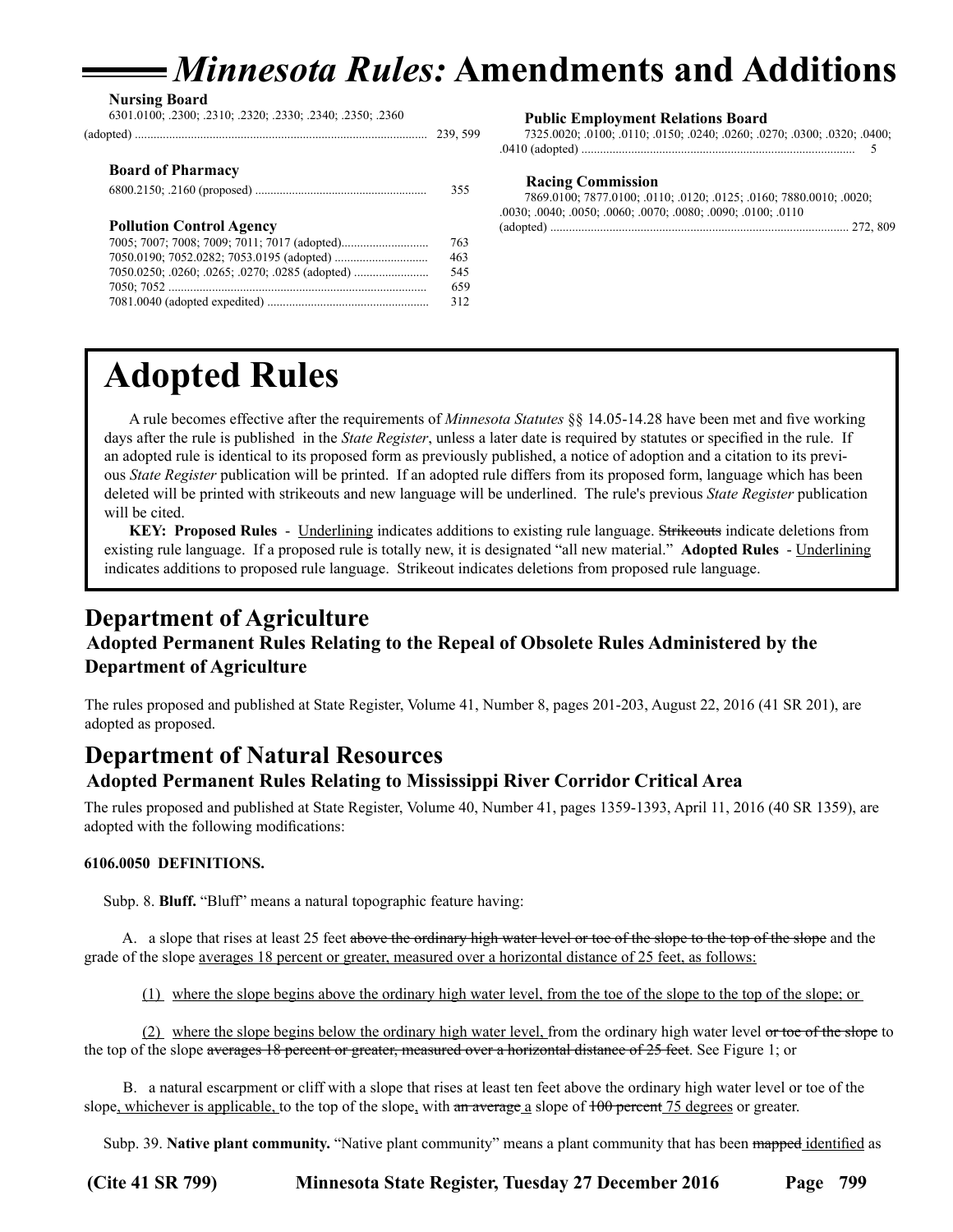## *Minnesota Rules:* **Amendments and Additions**

<span id="page-4-0"></span>**Nursing Board** 6301.0100; .2300; .2310; .2320; .2330; .2340; .2350; .2360

|                                                 | 239, 599 |
|-------------------------------------------------|----------|
| <b>Board of Pharmacy</b>                        |          |
|                                                 | 355      |
| <b>Pollution Control Agency</b>                 |          |
|                                                 | 763      |
|                                                 | 463      |
| 7050.0250; .0260; .0265; .0270; .0285 (adopted) | 545      |
|                                                 | 659      |
|                                                 | 312      |
|                                                 |          |

#### **Public Employment Relations Board**

7325.0020; .0100; .0110; .0150; .0240; .0260; .0270; .0300; .0320; .0400; .0410 (adopted) ........................................................................................ 5

#### **Racing Commission**

| 7869.0100; 7877.0100; .0110; .0120; .0125; .0160; 7880.0010; .0020; |  |
|---------------------------------------------------------------------|--|
| .0030: .0040: .0050: .0060: .0070: .0080: .0090: .0100: .0110       |  |
|                                                                     |  |

## **Adopted Rules**

A rule becomes effective after the requirements of *Minnesota Statutes* §§ 14.05-14.28 have been met and five working days after the rule is published in the *State Register*, unless a later date is required by statutes or specified in the rule. If an adopted rule is identical to its proposed form as previously published, a notice of adoption and a citation to its previous *State Register* publication will be printed. If an adopted rule differs from its proposed form, language which has been deleted will be printed with strikeouts and new language will be underlined. The rule's previous *State Register* publication will be cited.

**KEY: Proposed Rules** - Underlining indicates additions to existing rule language. Strikeouts indicate deletions from existing rule language. If a proposed rule is totally new, it is designated "all new material." **Adopted Rules** - Underlining indicates additions to proposed rule language. Strikeout indicates deletions from proposed rule language.

## **Department of Agriculture Adopted Permanent Rules Relating to the Repeal of Obsolete Rules Administered by the Department of Agriculture**

The rules proposed and published at State Register, Volume 41, Number 8, pages 201-203, August 22, 2016 (41 SR 201), are adopted as proposed.

## **Department of Natural Resources**

**Adopted Permanent Rules Relating to Mississippi River Corridor Critical Area**

The rules proposed and published at State Register, Volume 40, Number 41, pages 1359-1393, April 11, 2016 (40 SR 1359), are adopted with the following modifications:

### **6106.0050 DEFINITIONS.**

Subp. 8. **Bluff.** "Bluff" means a natural topographic feature having:

 A. a slope that rises at least 25 feet above the ordinary high water level or toe of the slope to the top of the slope and the grade of the slope averages 18 percent or greater, measured over a horizontal distance of 25 feet, as follows:

(1) where the slope begins above the ordinary high water level, from the toe of the slope to the top of the slope; or

 (2) where the slope begins below the ordinary high water level, from the ordinary high water level or toe of the slope to the top of the slope averages 18 percent or greater, measured over a horizontal distance of 25 feet. See Figure 1; or

 B. a natural escarpment or cliff with a slope that rises at least ten feet above the ordinary high water level or toe of the slope, whichever is applicable, to the top of the slope, with an average a slope of  $100$  percent 75 degrees or greater.

Subp. 39. **Native plant community.** "Native plant community" means a plant community that has been mapped identified as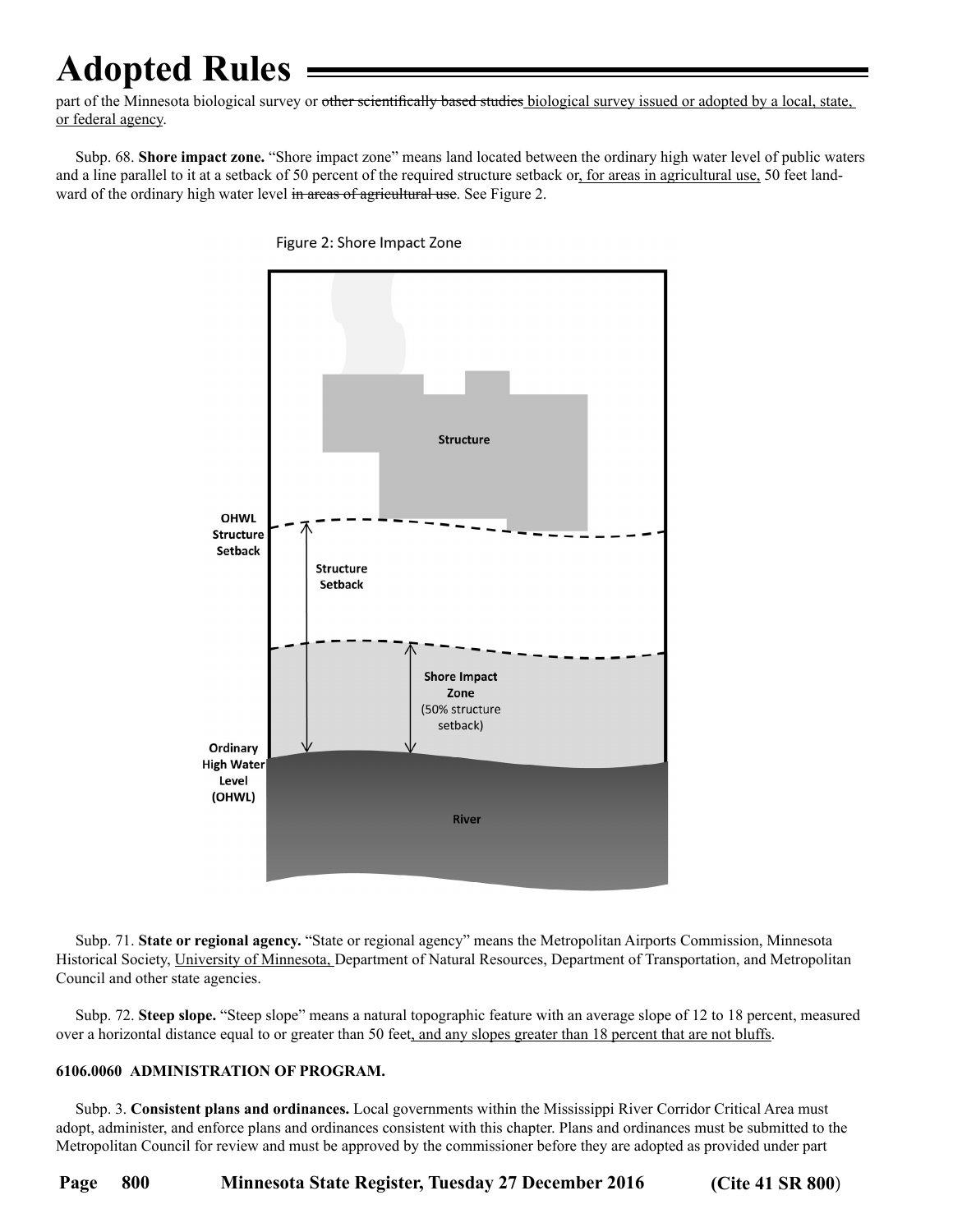part of the Minnesota biological survey or other scientifically based studies biological survey issued or adopted by a local, state, or federal agency.

 Subp. 68. **Shore impact zone.** "Shore impact zone" means land located between the ordinary high water level of public waters and a line parallel to it at a setback of 50 percent of the required structure setback or, for areas in agricultural use, 50 feet landward of the ordinary high water level in areas of agricultural use. See Figure 2.



Figure 2: Shore Impact Zone

 Subp. 71. **State or regional agency.** "State or regional agency" means the Metropolitan Airports Commission, Minnesota Historical Society, University of Minnesota, Department of Natural Resources, Department of Transportation, and Metropolitan Council and other state agencies.

 Subp. 72. **Steep slope.** "Steep slope" means a natural topographic feature with an average slope of 12 to 18 percent, measured over a horizontal distance equal to or greater than 50 feet, and any slopes greater than 18 percent that are not bluffs.

### **6106.0060 ADMINISTRATION OF PROGRAM.**

 Subp. 3. **Consistent plans and ordinances.** Local governments within the Mississippi River Corridor Critical Area must adopt, administer, and enforce plans and ordinances consistent with this chapter. Plans and ordinances must be submitted to the Metropolitan Council for review and must be approved by the commissioner before they are adopted as provided under part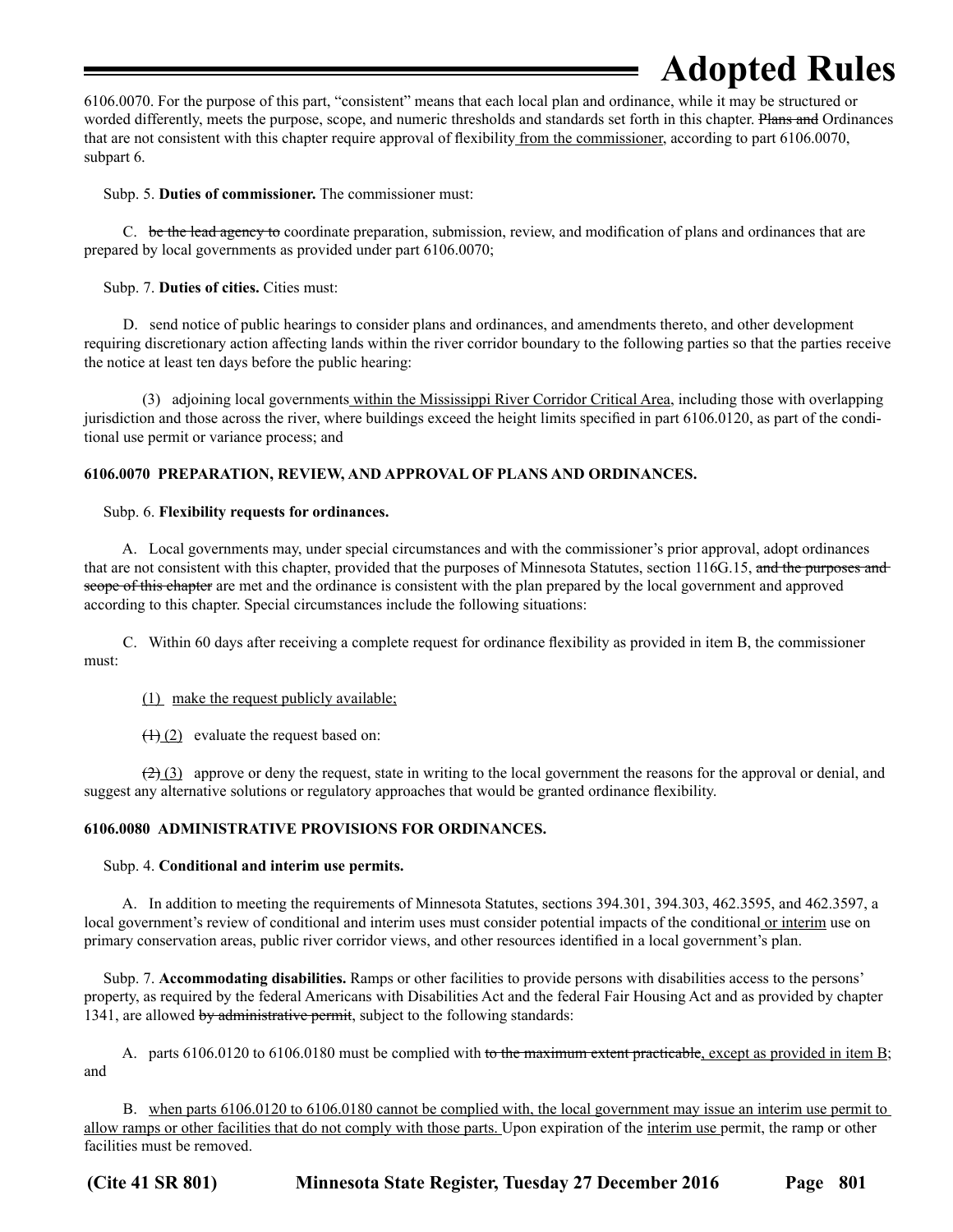6106.0070. For the purpose of this part, "consistent" means that each local plan and ordinance, while it may be structured or worded differently, meets the purpose, scope, and numeric thresholds and standards set forth in this chapter. Plans and Ordinances that are not consistent with this chapter require approval of flexibility from the commissioner, according to part 6106.0070, subpart 6.

Subp. 5. **Duties of commissioner.** The commissioner must:

C. be the lead agency to coordinate preparation, submission, review, and modification of plans and ordinances that are prepared by local governments as provided under part 6106.0070;

Subp. 7. **Duties of cities.** Cities must:

 D. send notice of public hearings to consider plans and ordinances, and amendments thereto, and other development requiring discretionary action affecting lands within the river corridor boundary to the following parties so that the parties receive the notice at least ten days before the public hearing:

 (3) adjoining local governments within the Mississippi River Corridor Critical Area, including those with overlapping jurisdiction and those across the river, where buildings exceed the height limits specified in part 6106.0120, as part of the conditional use permit or variance process; and

### **6106.0070 PREPARATION, REVIEW, AND APPROVAL OF PLANS AND ORDINANCES.**

### Subp. 6. **Flexibility requests for ordinances.**

 A. Local governments may, under special circumstances and with the commissioner's prior approval, adopt ordinances that are not consistent with this chapter, provided that the purposes of Minnesota Statutes, section 116G.15, and the purposes and scope of this chapter are met and the ordinance is consistent with the plan prepared by the local government and approved according to this chapter. Special circumstances include the following situations:

 C. Within 60 days after receiving a complete request for ordinance flexibility as provided in item B, the commissioner must:

(1) make the request publicly available;

 $(1)(2)$  evaluate the request based on:

 $(2)$  (3) approve or deny the request, state in writing to the local government the reasons for the approval or denial, and suggest any alternative solutions or regulatory approaches that would be granted ordinance flexibility.

### **6106.0080 ADMINISTRATIVE PROVISIONS FOR ORDINANCES.**

### Subp. 4. **Conditional and interim use permits.**

 A. In addition to meeting the requirements of Minnesota Statutes, sections 394.301, 394.303, 462.3595, and 462.3597, a local government's review of conditional and interim uses must consider potential impacts of the conditional or interim use on primary conservation areas, public river corridor views, and other resources identified in a local government's plan.

 Subp. 7. **Accommodating disabilities.** Ramps or other facilities to provide persons with disabilities access to the persons' property, as required by the federal Americans with Disabilities Act and the federal Fair Housing Act and as provided by chapter 1341, are allowed by administrative permit, subject to the following standards:

A. parts 6106.0120 to 6106.0180 must be complied with to the maximum extent practicable, except as provided in item B; and

 B. when parts 6106.0120 to 6106.0180 cannot be complied with, the local government may issue an interim use permit to allow ramps or other facilities that do not comply with those parts. Upon expiration of the interim use permit, the ramp or other facilities must be removed.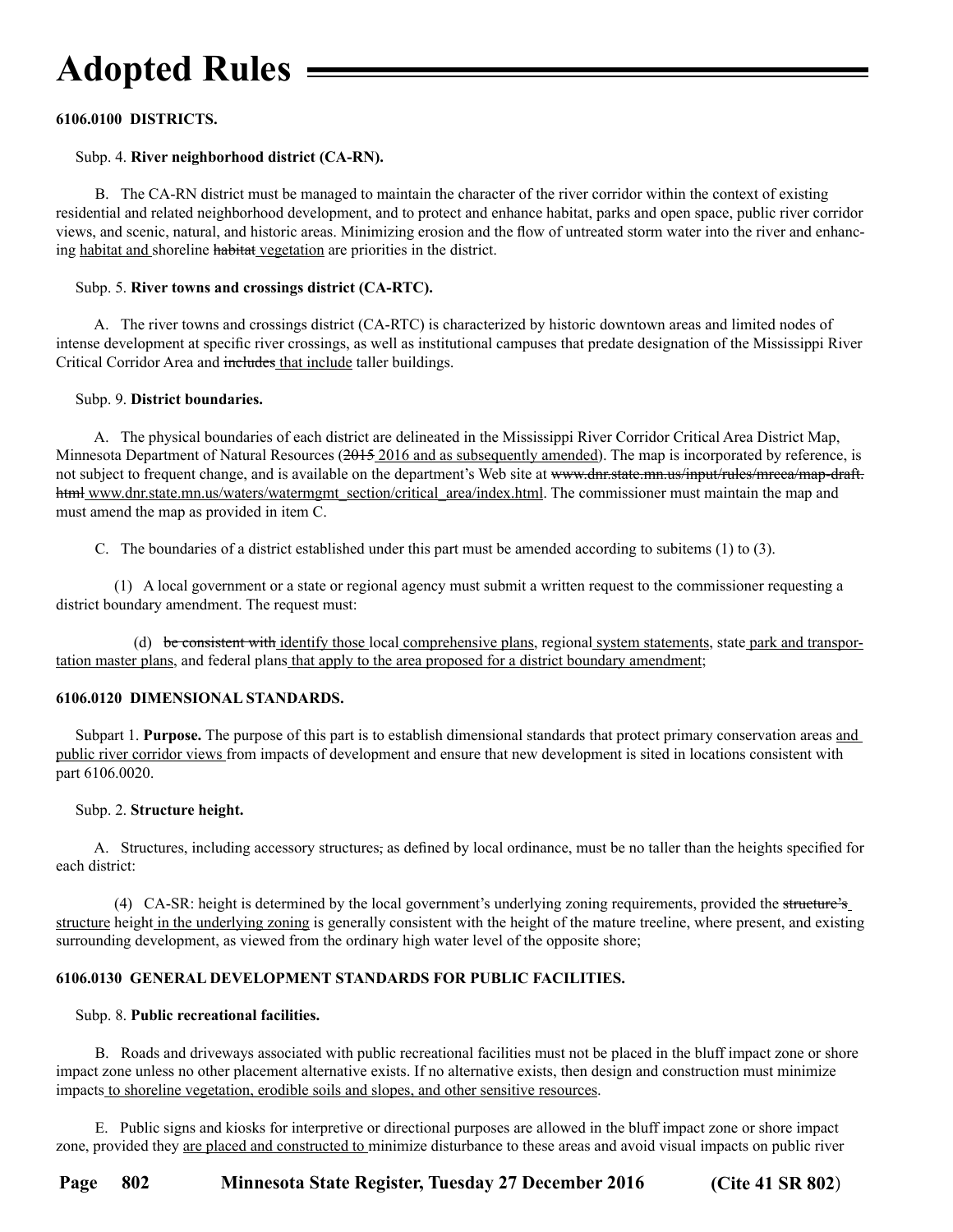### **6106.0100 DISTRICTS.**

### Subp. 4. **River neighborhood district (CA-RN).**

 B. The CA-RN district must be managed to maintain the character of the river corridor within the context of existing residential and related neighborhood development, and to protect and enhance habitat, parks and open space, public river corridor views, and scenic, natural, and historic areas. Minimizing erosion and the flow of untreated storm water into the river and enhancing habitat and shoreline habitat vegetation are priorities in the district.

### Subp. 5. **River towns and crossings district (CA-RTC).**

 A. The river towns and crossings district (CA-RTC) is characterized by historic downtown areas and limited nodes of intense development at specific river crossings, as well as institutional campuses that predate designation of the Mississippi River Critical Corridor Area and includes that include taller buildings.

### Subp. 9. **District boundaries.**

 A. The physical boundaries of each district are delineated in the Mississippi River Corridor Critical Area District Map, Minnesota Department of Natural Resources (2015 2016 and as subsequently amended). The map is incorporated by reference, is not subject to frequent change, and is available on the department's Web site at www.dnr.state.mn.us/input/rules/mrcca/map-draft. html www.dnr.state.mn.us/waters/watermgmt\_section/critical\_area/index.html. The commissioner must maintain the map and must amend the map as provided in item C.

C. The boundaries of a district established under this part must be amended according to subitems (1) to (3).

 (1) A local government or a state or regional agency must submit a written request to the commissioner requesting a district boundary amendment. The request must:

(d) be consistent with identify those local comprehensive plans, regional system statements, state park and transportation master plans, and federal plans that apply to the area proposed for a district boundary amendment;

### **6106.0120 DIMENSIONAL STANDARDS.**

Subpart 1. **Purpose.** The purpose of this part is to establish dimensional standards that protect primary conservation areas and public river corridor views from impacts of development and ensure that new development is sited in locations consistent with part 6106.0020.

### Subp. 2. **Structure height.**

 A. Structures, including accessory structures, as defined by local ordinance, must be no taller than the heights specified for each district:

 (4) CA-SR: height is determined by the local government's underlying zoning requirements, provided the structure's structure height in the underlying zoning is generally consistent with the height of the mature treeline, where present, and existing surrounding development, as viewed from the ordinary high water level of the opposite shore;

### **6106.0130 GENERAL DEVELOPMENT STANDARDS FOR PUBLIC FACILITIES.**

### Subp. 8. **Public recreational facilities.**

 B. Roads and driveways associated with public recreational facilities must not be placed in the bluff impact zone or shore impact zone unless no other placement alternative exists. If no alternative exists, then design and construction must minimize impacts to shoreline vegetation, erodible soils and slopes, and other sensitive resources.

 E. Public signs and kiosks for interpretive or directional purposes are allowed in the bluff impact zone or shore impact zone, provided they are placed and constructed to minimize disturbance to these areas and avoid visual impacts on public river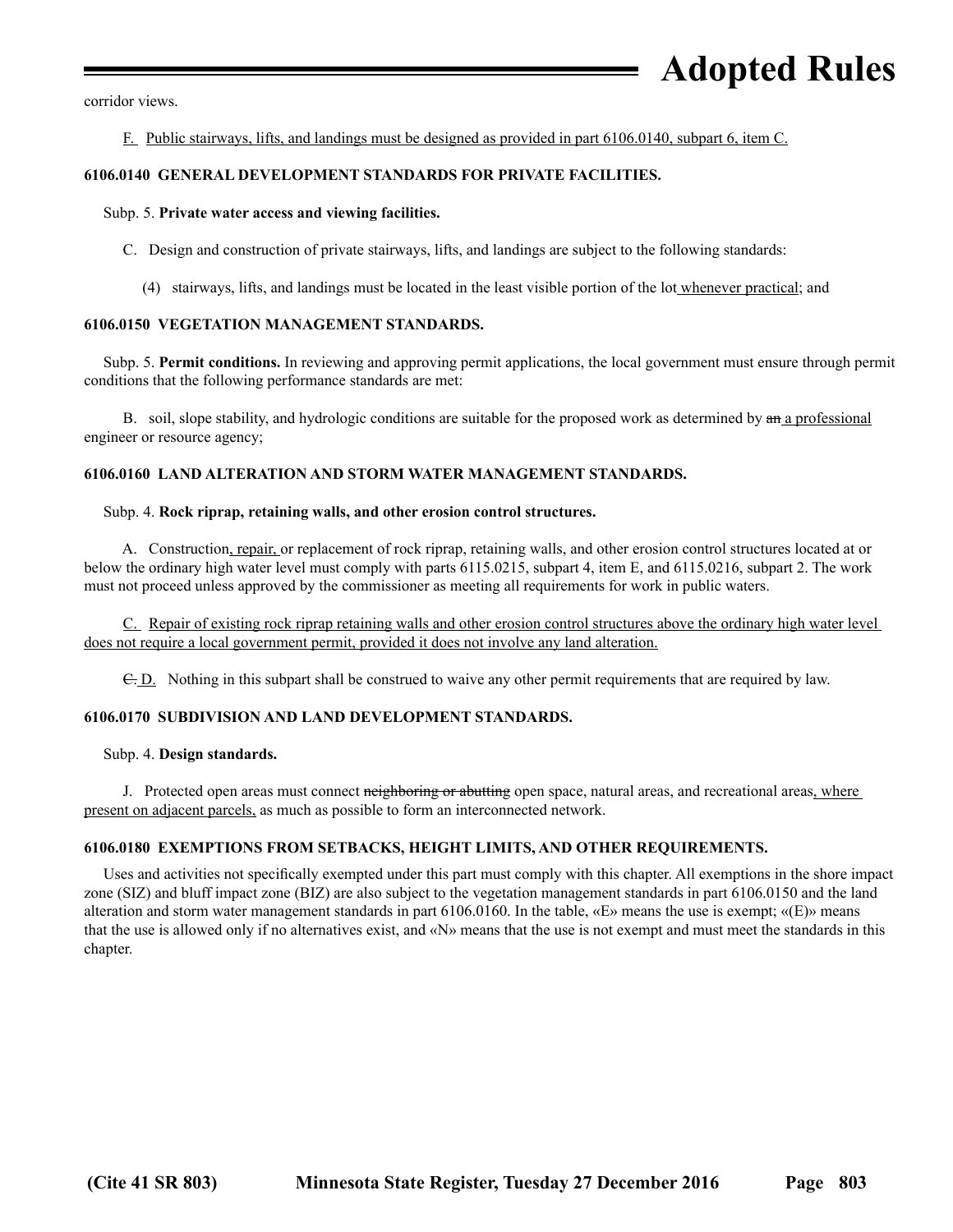corridor views.

F. Public stairways, lifts, and landings must be designed as provided in part 6106.0140, subpart 6, item C.

### **6106.0140 GENERAL DEVELOPMENT STANDARDS FOR PRIVATE FACILITIES.**

#### Subp. 5. **Private water access and viewing facilities.**

C. Design and construction of private stairways, lifts, and landings are subject to the following standards:

(4) stairways, lifts, and landings must be located in the least visible portion of the lot whenever practical; and

### **6106.0150 VEGETATION MANAGEMENT STANDARDS.**

 Subp. 5. **Permit conditions.** In reviewing and approving permit applications, the local government must ensure through permit conditions that the following performance standards are met:

B. soil, slope stability, and hydrologic conditions are suitable for the proposed work as determined by  $a_n$  a professional engineer or resource agency;

### **6106.0160 LAND ALTERATION AND STORM WATER MANAGEMENT STANDARDS.**

#### Subp. 4. **Rock riprap, retaining walls, and other erosion control structures.**

 A. Construction, repair, or replacement of rock riprap, retaining walls, and other erosion control structures located at or below the ordinary high water level must comply with parts 6115.0215, subpart 4, item E, and 6115.0216, subpart 2. The work must not proceed unless approved by the commissioner as meeting all requirements for work in public waters.

 C. Repair of existing rock riprap retaining walls and other erosion control structures above the ordinary high water level does not require a local government permit, provided it does not involve any land alteration.

C. D. Nothing in this subpart shall be construed to waive any other permit requirements that are required by law.

### **6106.0170 SUBDIVISION AND LAND DEVELOPMENT STANDARDS.**

#### Subp. 4. **Design standards.**

J. Protected open areas must connect neighboring or abutting open space, natural areas, and recreational areas, where present on adjacent parcels, as much as possible to form an interconnected network.

### **6106.0180 EXEMPTIONS FROM SETBACKS, HEIGHT LIMITS, AND OTHER REQUIREMENTS.**

 Uses and activities not specifically exempted under this part must comply with this chapter. All exemptions in the shore impact zone (SIZ) and bluff impact zone (BIZ) are also subject to the vegetation management standards in part 6106.0150 and the land alteration and storm water management standards in part 6106.0160. In the table, «E» means the use is exempt; «(E)» means that the use is allowed only if no alternatives exist, and «N» means that the use is not exempt and must meet the standards in this chapter.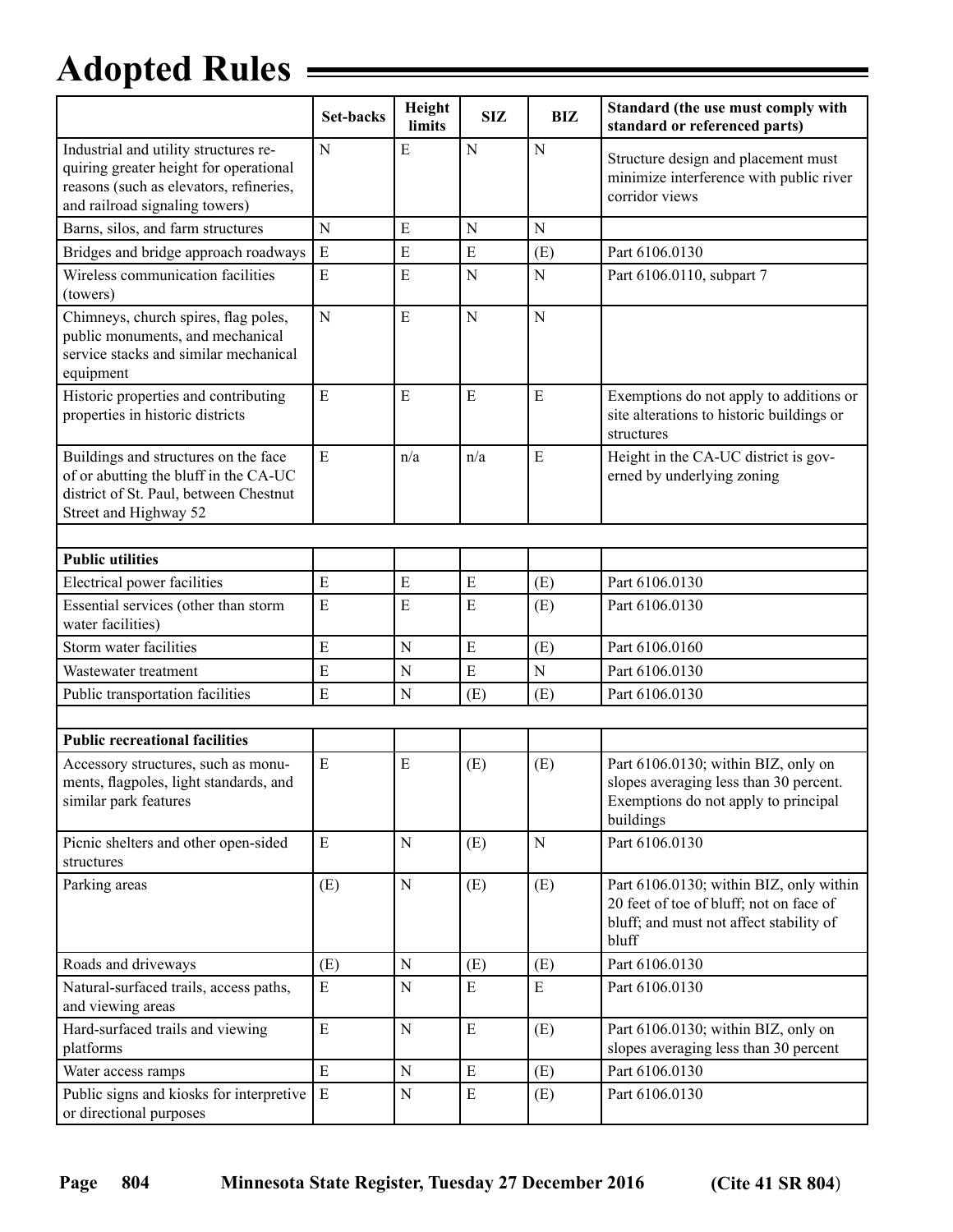|                                                                                                                                                              | <b>Set-backs</b> | Height<br>limits | <b>SIZ</b>  | <b>BIZ</b>  | Standard (the use must comply with<br>standard or referenced parts)                                                                    |
|--------------------------------------------------------------------------------------------------------------------------------------------------------------|------------------|------------------|-------------|-------------|----------------------------------------------------------------------------------------------------------------------------------------|
| Industrial and utility structures re-<br>quiring greater height for operational<br>reasons (such as elevators, refineries,<br>and railroad signaling towers) | $\mathbf N$      | E                | $\mathbf N$ | N           | Structure design and placement must<br>minimize interference with public river<br>corridor views                                       |
| Barns, silos, and farm structures                                                                                                                            | N                | Е                | N           | N           |                                                                                                                                        |
| Bridges and bridge approach roadways                                                                                                                         | E                | E                | E           | (E)         | Part 6106.0130                                                                                                                         |
| Wireless communication facilities<br>(towers)                                                                                                                | E                | E                | N           | $\mathbf N$ | Part 6106.0110, subpart 7                                                                                                              |
| Chimneys, church spires, flag poles,<br>public monuments, and mechanical<br>service stacks and similar mechanical<br>equipment                               | $\mathbf N$      | $\mathbf E$      | $\mathbf N$ | N           |                                                                                                                                        |
| Historic properties and contributing<br>properties in historic districts                                                                                     | E                | E                | E           | E           | Exemptions do not apply to additions or<br>site alterations to historic buildings or<br>structures                                     |
| Buildings and structures on the face<br>of or abutting the bluff in the CA-UC<br>district of St. Paul, between Chestnut<br>Street and Highway 52             | E                | n/a              | n/a         | E           | Height in the CA-UC district is gov-<br>erned by underlying zoning                                                                     |
|                                                                                                                                                              |                  |                  |             |             |                                                                                                                                        |
| <b>Public utilities</b>                                                                                                                                      |                  |                  |             |             |                                                                                                                                        |
| Electrical power facilities                                                                                                                                  | E                | E                | E           | (E)         | Part 6106.0130                                                                                                                         |
| Essential services (other than storm<br>water facilities)                                                                                                    | E                | $\mathbf E$      | ${\bf E}$   | (E)         | Part 6106.0130                                                                                                                         |
| Storm water facilities                                                                                                                                       | E                | $\mathbf N$      | ${\bf E}$   | (E)         | Part 6106.0160                                                                                                                         |
| Wastewater treatment                                                                                                                                         | $\overline{E}$   | N                | E           | N           | Part 6106.0130                                                                                                                         |
| Public transportation facilities                                                                                                                             | E                | N                | (E)         | (E)         | Part 6106.0130                                                                                                                         |
|                                                                                                                                                              |                  |                  |             |             |                                                                                                                                        |
| <b>Public recreational facilities</b>                                                                                                                        |                  |                  |             |             |                                                                                                                                        |
| Accessory structures, such as monu-<br>ments, flagpoles, light standards, and<br>similar park features                                                       | E                | E                | (E)         | (E)         | Part 6106.0130; within BIZ, only on<br>slopes averaging less than 30 percent.<br>Exemptions do not apply to principal<br>buildings     |
| Picnic shelters and other open-sided<br>structures                                                                                                           | E                | ${\bf N}$        | (E)         | $\mathbf N$ | Part 6106.0130                                                                                                                         |
| Parking areas                                                                                                                                                | (E)              | ${\bf N}$        | (E)         | (E)         | Part 6106.0130; within BIZ, only within<br>20 feet of toe of bluff; not on face of<br>bluff; and must not affect stability of<br>bluff |
| Roads and driveways                                                                                                                                          | (E)              | N                | (E)         | (E)         | Part 6106.0130                                                                                                                         |
| Natural-surfaced trails, access paths,<br>and viewing areas                                                                                                  | $\mathbf E$      | ${\bf N}$        | E           | E           | Part 6106.0130                                                                                                                         |
| Hard-surfaced trails and viewing<br>platforms                                                                                                                | $\overline{E}$   | ${\bf N}$        | ${\bf E}$   | (E)         | Part 6106.0130; within BIZ, only on<br>slopes averaging less than 30 percent                                                           |
| Water access ramps                                                                                                                                           | $\mathbf E$      | ${\bf N}$        | E           | (E)         | Part 6106.0130                                                                                                                         |
| Public signs and kiosks for interpretive<br>or directional purposes                                                                                          | $\mathbf E$      | ${\bf N}$        | $\mathbf E$ | (E)         | Part 6106.0130                                                                                                                         |

ш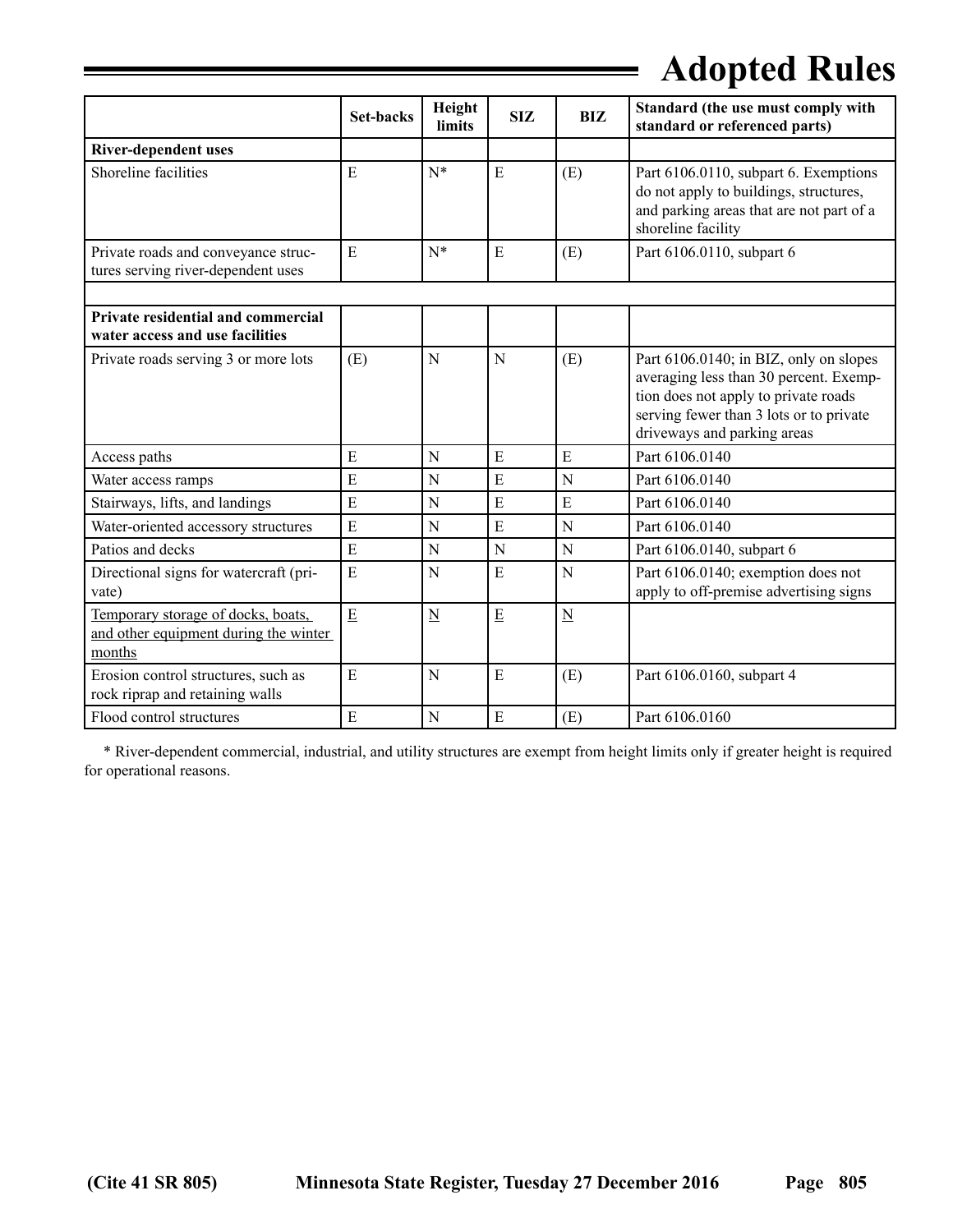|                                                                                       | <b>Set-backs</b> | Height          | <b>SIZ</b> | <b>BIZ</b>               | Standard (the use must comply with                                                                                                                                                                 |
|---------------------------------------------------------------------------------------|------------------|-----------------|------------|--------------------------|----------------------------------------------------------------------------------------------------------------------------------------------------------------------------------------------------|
|                                                                                       |                  | limits          |            |                          | standard or referenced parts)                                                                                                                                                                      |
| <b>River-dependent uses</b>                                                           |                  |                 |            |                          |                                                                                                                                                                                                    |
| Shoreline facilities                                                                  | E                | $N^*$           | ${\bf E}$  | (E)                      | Part 6106.0110, subpart 6. Exemptions<br>do not apply to buildings, structures,<br>and parking areas that are not part of a<br>shoreline facility                                                  |
| Private roads and conveyance struc-<br>tures serving river-dependent uses             | E                | $N^*$           | E          | (E)                      | Part 6106.0110, subpart 6                                                                                                                                                                          |
|                                                                                       |                  |                 |            |                          |                                                                                                                                                                                                    |
| Private residential and commercial<br>water access and use facilities                 |                  |                 |            |                          |                                                                                                                                                                                                    |
| Private roads serving 3 or more lots                                                  | (E)              | N               | N          | (E)                      | Part 6106.0140; in BIZ, only on slopes<br>averaging less than 30 percent. Exemp-<br>tion does not apply to private roads<br>serving fewer than 3 lots or to private<br>driveways and parking areas |
| Access paths                                                                          | E                | N               | E          | E                        | Part 6106.0140                                                                                                                                                                                     |
| Water access ramps                                                                    | E                | N               | E          | N                        | Part 6106.0140                                                                                                                                                                                     |
| Stairways, lifts, and landings                                                        | E                | N               | E          | E                        | Part 6106.0140                                                                                                                                                                                     |
| Water-oriented accessory structures                                                   | E                | N               | E          | N                        | Part 6106.0140                                                                                                                                                                                     |
| Patios and decks                                                                      | E                | N               | N          | N                        | Part 6106.0140, subpart 6                                                                                                                                                                          |
| Directional signs for watercraft (pri-<br>vate)                                       | E                | N               | E          | N                        | Part 6106.0140; exemption does not<br>apply to off-premise advertising signs                                                                                                                       |
| Temporary storage of docks, boats,<br>and other equipment during the winter<br>months | $\mathbf E$      | $\underline{N}$ | E          | $\underline{\mathbf{N}}$ |                                                                                                                                                                                                    |
| Erosion control structures, such as<br>rock riprap and retaining walls                | E                | N               | E          | (E)                      | Part 6106.0160, subpart 4                                                                                                                                                                          |
| Flood control structures                                                              | E                | N               | E          | (E)                      | Part 6106.0160                                                                                                                                                                                     |

 \* River-dependent commercial, industrial, and utility structures are exempt from height limits only if greater height is required for operational reasons.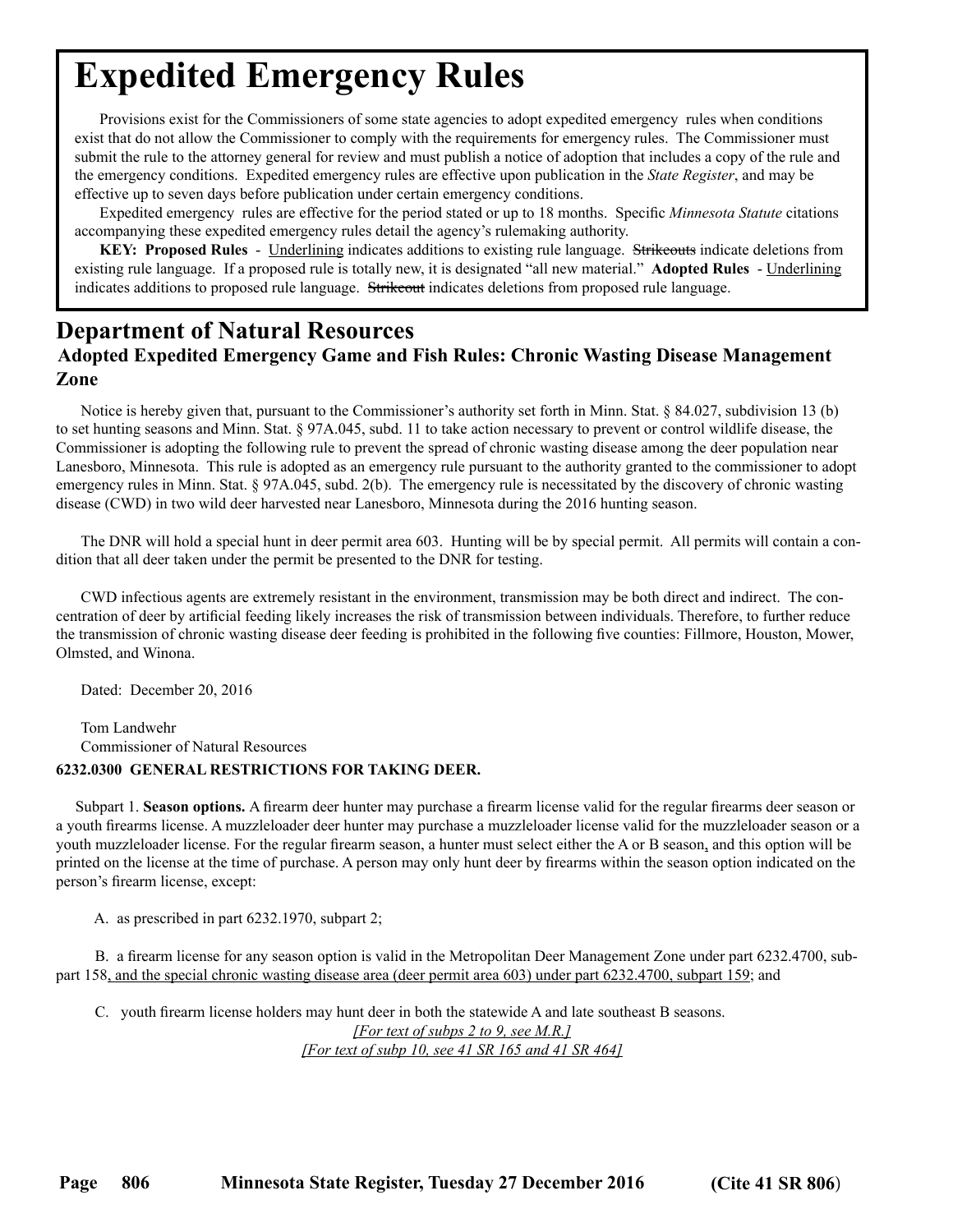<span id="page-11-0"></span>Provisions exist for the Commissioners of some state agencies to adopt expedited emergency rules when conditions exist that do not allow the Commissioner to comply with the requirements for emergency rules. The Commissioner must submit the rule to the attorney general for review and must publish a notice of adoption that includes a copy of the rule and the emergency conditions. Expedited emergency rules are effective upon publication in the *State Register*, and may be effective up to seven days before publication under certain emergency conditions.

Expedited emergency rules are effective for the period stated or up to 18 months. Specific *Minnesota Statute* citations accompanying these expedited emergency rules detail the agency's rulemaking authority.

**KEY: Proposed Rules** - Underlining indicates additions to existing rule language. Strikeouts indicate deletions from existing rule language. If a proposed rule is totally new, it is designated "all new material." **Adopted Rules** - Underlining indicates additions to proposed rule language. Strikeout indicates deletions from proposed rule language.

## **Department of Natural Resources**

### **Adopted Expedited Emergency Game and Fish Rules: Chronic Wasting Disease Management Zone**

Notice is hereby given that, pursuant to the Commissioner's authority set forth in Minn. Stat. § 84.027, subdivision 13 (b) to set hunting seasons and Minn. Stat. § 97A.045, subd. 11 to take action necessary to prevent or control wildlife disease, the Commissioner is adopting the following rule to prevent the spread of chronic wasting disease among the deer population near Lanesboro, Minnesota. This rule is adopted as an emergency rule pursuant to the authority granted to the commissioner to adopt emergency rules in Minn. Stat. § 97A.045, subd. 2(b). The emergency rule is necessitated by the discovery of chronic wasting disease (CWD) in two wild deer harvested near Lanesboro, Minnesota during the 2016 hunting season.

The DNR will hold a special hunt in deer permit area 603. Hunting will be by special permit. All permits will contain a condition that all deer taken under the permit be presented to the DNR for testing.

CWD infectious agents are extremely resistant in the environment, transmission may be both direct and indirect. The concentration of deer by artificial feeding likely increases the risk of transmission between individuals. Therefore, to further reduce the transmission of chronic wasting disease deer feeding is prohibited in the following five counties: Fillmore, Houston, Mower, Olmsted, and Winona.

Dated: December 20, 2016

Tom Landwehr Commissioner of Natural Resources

### **6232.0300 GENERAL RESTRICTIONS FOR TAKING DEER.**

 Subpart 1. **Season options.** A firearm deer hunter may purchase a firearm license valid for the regular firearms deer season or a youth firearms license. A muzzleloader deer hunter may purchase a muzzleloader license valid for the muzzleloader season or a youth muzzleloader license. For the regular firearm season, a hunter must select either the A or B season, and this option will be printed on the license at the time of purchase. A person may only hunt deer by firearms within the season option indicated on the person's firearm license, except:

A. as prescribed in part 6232.1970, subpart 2;

 B. a firearm license for any season option is valid in the Metropolitan Deer Management Zone under part 6232.4700, subpart 158, and the special chronic wasting disease area (deer permit area 603) under part 6232.4700, subpart 159; and

 C. youth firearm license holders may hunt deer in both the statewide A and late southeast B seasons. *[For text of subps 2 to 9, see M.R.] [For text of subp 10, see 41 SR 165 and 41 SR 464]*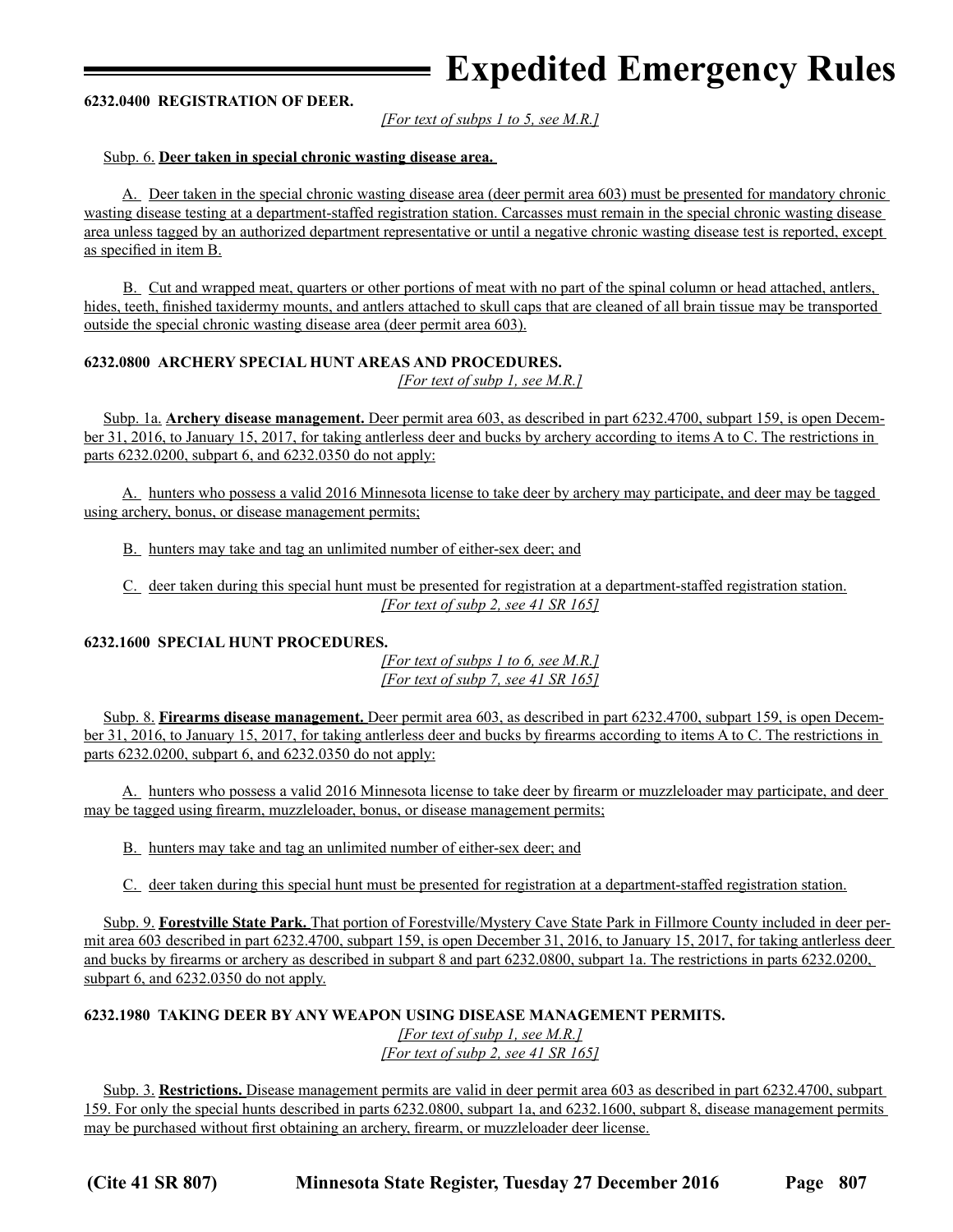#### **6232.0400 REGISTRATION OF DEER.**

*[For text of subps 1 to 5, see M.R.]*

#### Subp. 6. **Deer taken in special chronic wasting disease area.**

 A. Deer taken in the special chronic wasting disease area (deer permit area 603) must be presented for mandatory chronic wasting disease testing at a department-staffed registration station. Carcasses must remain in the special chronic wasting disease area unless tagged by an authorized department representative or until a negative chronic wasting disease test is reported, except as specified in item B.

 B. Cut and wrapped meat, quarters or other portions of meat with no part of the spinal column or head attached, antlers, hides, teeth, finished taxidermy mounts, and antlers attached to skull caps that are cleaned of all brain tissue may be transported outside the special chronic wasting disease area (deer permit area 603).

### **6232.0800 ARCHERY SPECIAL HUNT AREAS AND PROCEDURES.**

*[For text of subp 1, see M.R.]*

 Subp. 1a. **Archery disease management.** Deer permit area 603, as described in part 6232.4700, subpart 159, is open December 31, 2016, to January 15, 2017, for taking antlerless deer and bucks by archery according to items A to C. The restrictions in parts 6232.0200, subpart 6, and 6232.0350 do not apply:

 A. hunters who possess a valid 2016 Minnesota license to take deer by archery may participate, and deer may be tagged using archery, bonus, or disease management permits;

B. hunters may take and tag an unlimited number of either-sex deer; and

 C. deer taken during this special hunt must be presented for registration at a department-staffed registration station. *[For text of subp 2, see 41 SR 165]*

### **6232.1600 SPECIAL HUNT PROCEDURES.**

*[For text of subps 1 to 6, see M.R.] [For text of subp 7, see 41 SR 165]*

 Subp. 8. **Firearms disease management.** Deer permit area 603, as described in part 6232.4700, subpart 159, is open December 31, 2016, to January 15, 2017, for taking antlerless deer and bucks by firearms according to items A to C. The restrictions in parts 6232.0200, subpart 6, and 6232.0350 do not apply:

 A. hunters who possess a valid 2016 Minnesota license to take deer by firearm or muzzleloader may participate, and deer may be tagged using firearm, muzzleloader, bonus, or disease management permits;

B. hunters may take and tag an unlimited number of either-sex deer; and

C. deer taken during this special hunt must be presented for registration at a department-staffed registration station.

 Subp. 9. **Forestville State Park.** That portion of Forestville/Mystery Cave State Park in Fillmore County included in deer permit area 603 described in part 6232.4700, subpart 159, is open December 31, 2016, to January 15, 2017, for taking antlerless deer and bucks by firearms or archery as described in subpart 8 and part 6232.0800, subpart 1a. The restrictions in parts 6232.0200, subpart 6, and 6232.0350 do not apply.

#### **6232.1980 TAKING DEER BY ANY WEAPON USING DISEASE MANAGEMENT PERMITS.** *[For text of subp 1, see M.R.] [For text of subp 2, see 41 SR 165]*

 Subp. 3. **Restrictions.** Disease management permits are valid in deer permit area 603 as described in part 6232.4700, subpart 159. For only the special hunts described in parts 6232.0800, subpart 1a, and 6232.1600, subpart 8, disease management permits may be purchased without first obtaining an archery, firearm, or muzzleloader deer license.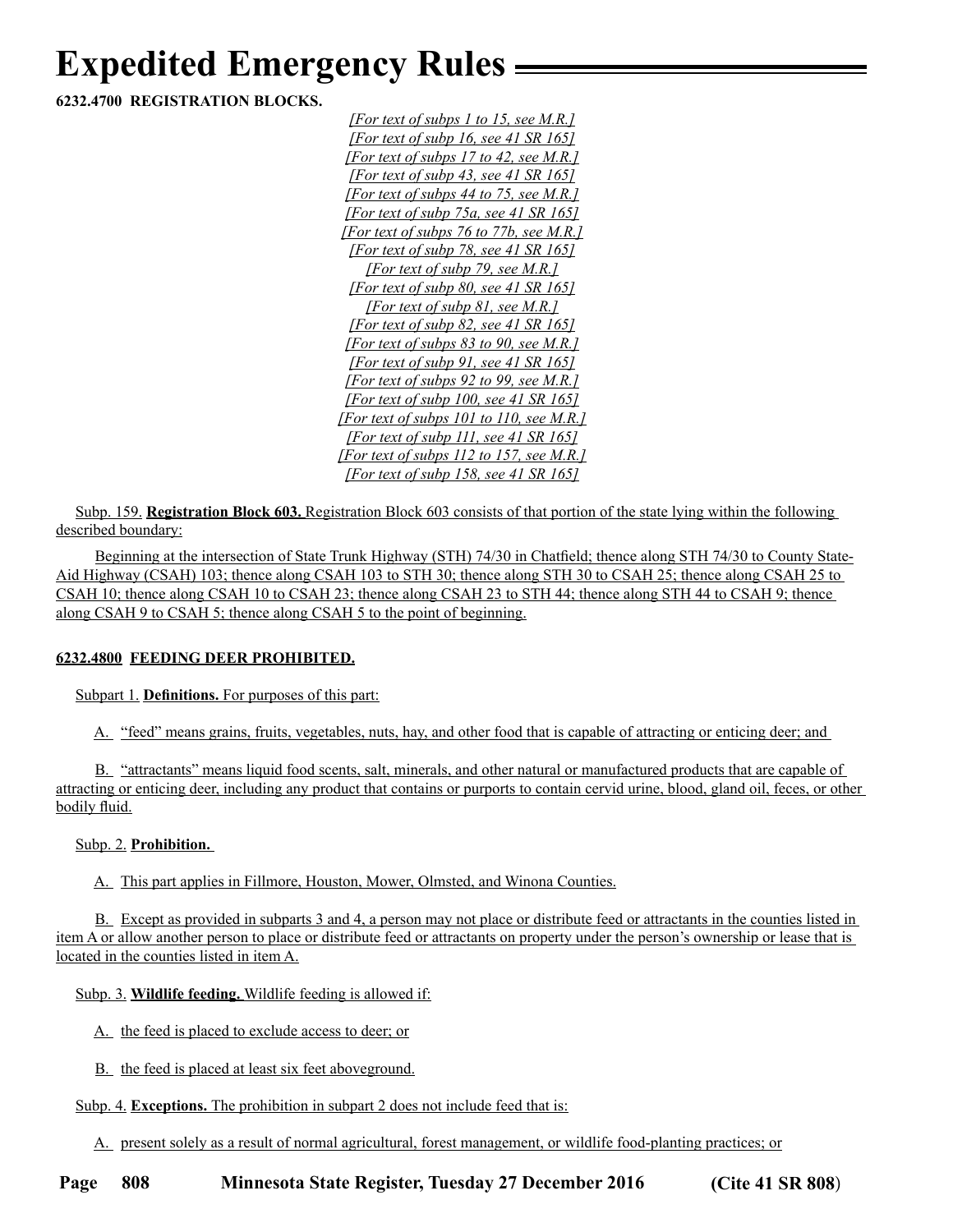**6232.4700 REGISTRATION BLOCKS.**

*[For text of subps 1 to 15, see M.R.] [For text of subp 16, see 41 SR 165] [For text of subps 17 to 42, see M.R.] [For text of subp 43, see 41 SR 165] [For text of subps 44 to 75, see M.R.] [For text of subp 75a, see 41 SR 165] [For text of subps 76 to 77b, see M.R.] [For text of subp 78, see 41 SR 165] [For text of subp 79, see M.R.] [For text of subp 80, see 41 SR 165] [For text of subp 81, see M.R.] [For text of subp 82, see 41 SR 165] [For text of subps 83 to 90, see M.R.] [For text of subp 91, see 41 SR 165] [For text of subps 92 to 99, see M.R.] [For text of subp 100, see 41 SR 165] [For text of subps 101 to 110, see M.R.] [For text of subp 111, see 41 SR 165] [For text of subps 112 to 157, see M.R.] [For text of subp 158, see 41 SR 165]*

 Subp. 159. **Registration Block 603.** Registration Block 603 consists of that portion of the state lying within the following described boundary:

 Beginning at the intersection of State Trunk Highway (STH) 74/30 in Chatfield; thence along STH 74/30 to County State-Aid Highway (CSAH) 103; thence along CSAH 103 to STH 30; thence along STH 30 to CSAH 25; thence along CSAH 25 to CSAH 10; thence along CSAH 10 to CSAH 23; thence along CSAH 23 to STH 44; thence along STH 44 to CSAH 9; thence along CSAH 9 to CSAH 5; thence along CSAH 5 to the point of beginning.

### **6232.4800 FEEDING DEER PROHIBITED.**

Subpart 1. **Definitions.** For purposes of this part:

A. "feed" means grains, fruits, vegetables, nuts, hay, and other food that is capable of attracting or enticing deer; and

 B. "attractants" means liquid food scents, salt, minerals, and other natural or manufactured products that are capable of attracting or enticing deer, including any product that contains or purports to contain cervid urine, blood, gland oil, feces, or other bodily fluid.

Subp. 2. **Prohibition.** 

A. This part applies in Fillmore, Houston, Mower, Olmsted, and Winona Counties.

 B. Except as provided in subparts 3 and 4, a person may not place or distribute feed or attractants in the counties listed in item A or allow another person to place or distribute feed or attractants on property under the person's ownership or lease that is located in the counties listed in item A.

Subp. 3. **Wildlife feeding.** Wildlife feeding is allowed if:

- A. the feed is placed to exclude access to deer; or
- B. the feed is placed at least six feet aboveground.

### Subp. 4. **Exceptions.** The prohibition in subpart 2 does not include feed that is:

A. present solely as a result of normal agricultural, forest management, or wildlife food-planting practices; or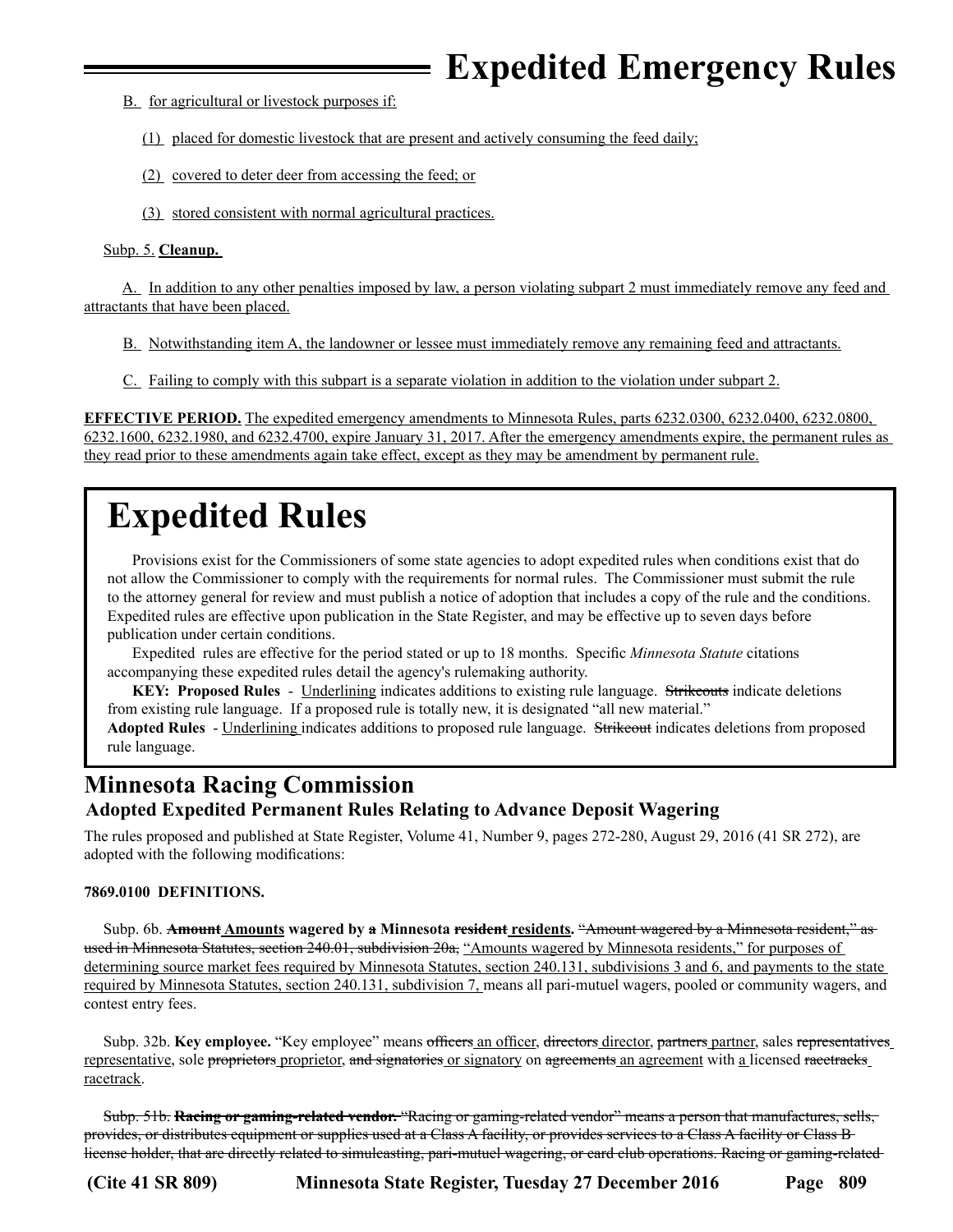- <span id="page-14-0"></span> B. for agricultural or livestock purposes if:
	- (1) placed for domestic livestock that are present and actively consuming the feed daily;
	- (2) covered to deter deer from accessing the feed; or
	- (3) stored consistent with normal agricultural practices.

### Subp. 5. **Cleanup.**

 A. In addition to any other penalties imposed by law, a person violating subpart 2 must immediately remove any feed and attractants that have been placed.

- B. Notwithstanding item A, the landowner or lessee must immediately remove any remaining feed and attractants.
- C. Failing to comply with this subpart is a separate violation in addition to the violation under subpart 2.

**EFFECTIVE PERIOD.** The expedited emergency amendments to Minnesota Rules, parts 6232.0300, 6232.0400, 6232.0800, 6232.1600, 6232.1980, and 6232.4700, expire January 31, 2017. After the emergency amendments expire, the permanent rules as they read prior to these amendments again take effect, except as they may be amendment by permanent rule.

## **Expedited Rules**

Provisions exist for the Commissioners of some state agencies to adopt expedited rules when conditions exist that do not allow the Commissioner to comply with the requirements for normal rules. The Commissioner must submit the rule to the attorney general for review and must publish a notice of adoption that includes a copy of the rule and the conditions. Expedited rules are effective upon publication in the State Register, and may be effective up to seven days before publication under certain conditions.

Expedited rules are effective for the period stated or up to 18 months. Specific *Minnesota Statute* citations accompanying these expedited rules detail the agency's rulemaking authority.

**KEY: Proposed Rules** - Underlining indicates additions to existing rule language. Strikeouts indicate deletions from existing rule language. If a proposed rule is totally new, it is designated "all new material."

**Adopted Rules** - Underlining indicates additions to proposed rule language. Strikeout indicates deletions from proposed rule language.

## **Minnesota Racing Commission Adopted Expedited Permanent Rules Relating to Advance Deposit Wagering**

The rules proposed and published at State Register, Volume 41, Number 9, pages 272-280, August 29, 2016 (41 SR 272), are adopted with the following modifications:

### **7869.0100 DEFINITIONS.**

Subp. 6b. **Amount Amounts** wagered by **a Minnesota resident residents.** "Amount wagered by a Minnesota resident," as used in Minnesota Statutes, section 240.01, subdivision 20a, "Amounts wagered by Minnesota residents," for purposes of determining source market fees required by Minnesota Statutes, section 240.131, subdivisions 3 and 6, and payments to the state required by Minnesota Statutes, section 240.131, subdivision 7, means all pari-mutuel wagers, pooled or community wagers, and contest entry fees.

Subp. 32b. **Key employee.** "Key employee" means officers an officer, directors director, partners partner, sales representatives representative, sole proprietors proprietor, and signatories or signatory on agreements an agreement with a licensed racetracks racetrack.

 Subp. 51b. **Racing or gaming-related vendor.** "Racing or gaming-related vendor" means a person that manufactures, sells, provides, or distributes equipment or supplies used at a Class A facility, or provides services to a Class A facility or Class B license holder, that are directly related to simulcasting, pari-mutuel wagering, or card club operations. Racing or gaming-related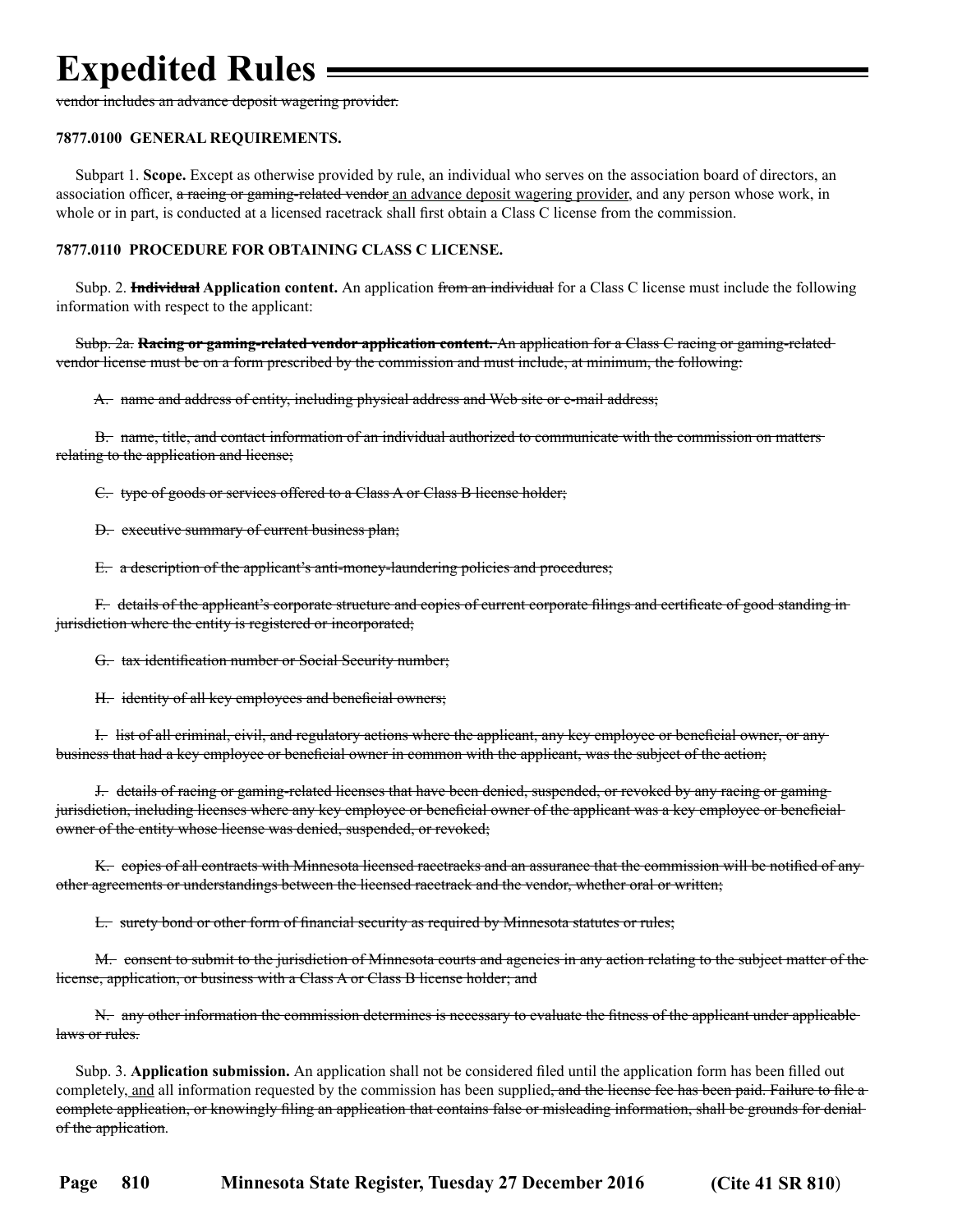vendor includes an advance deposit wagering provider.

#### **7877.0100 GENERAL REQUIREMENTS.**

 Subpart 1. **Scope.** Except as otherwise provided by rule, an individual who serves on the association board of directors, an association officer, a racing or gaming-related vendor an advance deposit wagering provider, and any person whose work, in whole or in part, is conducted at a licensed racetrack shall first obtain a Class C license from the commission.

### **7877.0110 PROCEDURE FOR OBTAINING CLASS C LICENSE.**

 Subp. 2. **Individual Application content.** An application from an individual for a Class C license must include the following information with respect to the applicant:

 Subp. 2a. **Racing or gaming-related vendor application content.** An application for a Class C racing or gaming-related vendor license must be on a form prescribed by the commission and must include, at minimum, the following:

A. name and address of entity, including physical address and Web site or e-mail address;

 B. name, title, and contact information of an individual authorized to communicate with the commission on matters relating to the application and license;

C. type of goods or services offered to a Class A or Class B license holder;

D. executive summary of current business plan;

E. a description of the applicant's anti-money-laundering policies and procedures;

 F. details of the applicant's corporate structure and copies of current corporate filings and certificate of good standing in jurisdiction where the entity is registered or incorporated;

G. tax identification number or Social Security number;

H. identity of all key employees and beneficial owners;

 I. list of all criminal, civil, and regulatory actions where the applicant, any key employee or beneficial owner, or any business that had a key employee or beneficial owner in common with the applicant, was the subject of the action;

 J. details of racing or gaming-related licenses that have been denied, suspended, or revoked by any racing or gaming jurisdiction, including licenses where any key employee or beneficial owner of the applicant was a key employee or beneficial owner of the entity whose license was denied, suspended, or revoked;

 K. copies of all contracts with Minnesota licensed racetracks and an assurance that the commission will be notified of any other agreements or understandings between the licensed racetrack and the vendor, whether oral or written;

L. surety bond or other form of financial security as required by Minnesota statutes or rules;

 M. consent to submit to the jurisdiction of Minnesota courts and agencies in any action relating to the subject matter of the license, application, or business with a Class A or Class B license holder; and

 N. any other information the commission determines is necessary to evaluate the fitness of the applicant under applicable laws or rules.

 Subp. 3. **Application submission.** An application shall not be considered filed until the application form has been filled out completely, and all information requested by the commission has been supplied<del>, and the license fee has been paid. Failure to file a</del> complete application, or knowingly filing an application that contains false or misleading information, shall be grounds for denial of the application.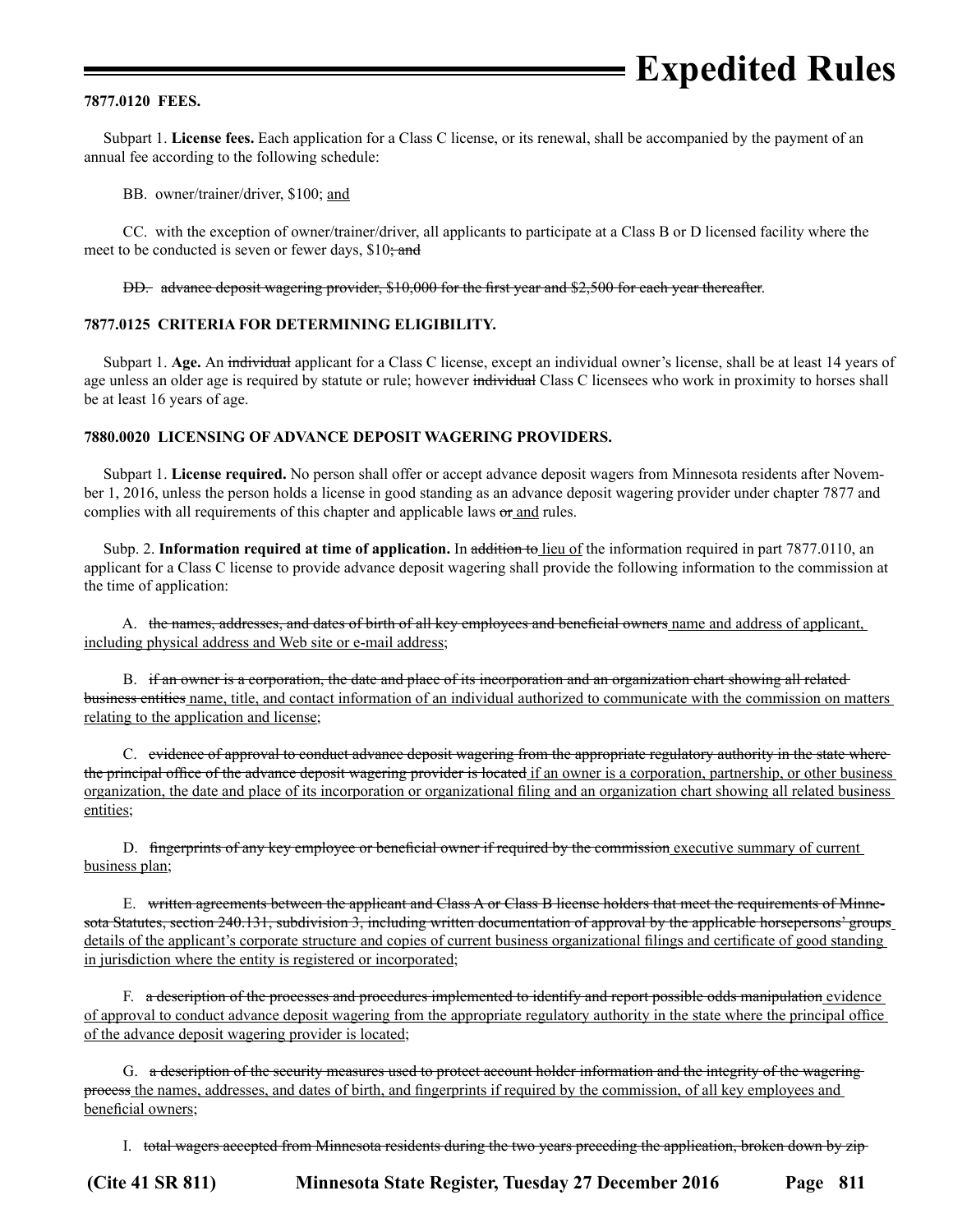#### **7877.0120 FEES.**

 Subpart 1. **License fees.** Each application for a Class C license, or its renewal, shall be accompanied by the payment of an annual fee according to the following schedule:

BB. owner/trainer/driver, \$100; and

 CC. with the exception of owner/trainer/driver, all applicants to participate at a Class B or D licensed facility where the meet to be conducted is seven or fewer days, \$10; and

DD. advance deposit wagering provider, \$10,000 for the first year and \$2,500 for each year thereafter.

### **7877.0125 CRITERIA FOR DETERMINING ELIGIBILITY.**

 Subpart 1. **Age.** An individual applicant for a Class C license, except an individual owner's license, shall be at least 14 years of age unless an older age is required by statute or rule; however individual Class C licensees who work in proximity to horses shall be at least 16 years of age.

### **7880.0020 LICENSING OF ADVANCE DEPOSIT WAGERING PROVIDERS.**

 Subpart 1. **License required.** No person shall offer or accept advance deposit wagers from Minnesota residents after November 1, 2016, unless the person holds a license in good standing as an advance deposit wagering provider under chapter 7877 and complies with all requirements of this chapter and applicable laws or and rules.

 Subp. 2. **Information required at time of application.** In addition to lieu of the information required in part 7877.0110, an applicant for a Class C license to provide advance deposit wagering shall provide the following information to the commission at the time of application:

 A. the names, addresses, and dates of birth of all key employees and beneficial owners name and address of applicant, including physical address and Web site or e-mail address;

 B. if an owner is a corporation, the date and place of its incorporation and an organization chart showing all related business entities name, title, and contact information of an individual authorized to communicate with the commission on matters relating to the application and license;

 C. evidence of approval to conduct advance deposit wagering from the appropriate regulatory authority in the state where the principal office of the advance deposit wagering provider is located if an owner is a corporation, partnership, or other business organization, the date and place of its incorporation or organizational filing and an organization chart showing all related business entities;

D. fingerprints of any key employee or beneficial owner if required by the commission executive summary of current business plan;

 E. written agreements between the applicant and Class A or Class B license holders that meet the requirements of Minnesota Statutes, section 240.131, subdivision 3, including written documentation of approval by the applicable horsepersons' groups details of the applicant's corporate structure and copies of current business organizational filings and certificate of good standing in jurisdiction where the entity is registered or incorporated;

F. a description of the processes and procedures implemented to identify and report possible odds manipulation evidence of approval to conduct advance deposit wagering from the appropriate regulatory authority in the state where the principal office of the advance deposit wagering provider is located;

 G. a description of the security measures used to protect account holder information and the integrity of the wagering process the names, addresses, and dates of birth, and fingerprints if required by the commission, of all key employees and beneficial owners;

I. total wagers accepted from Minnesota residents during the two years preceding the application, broken down by zip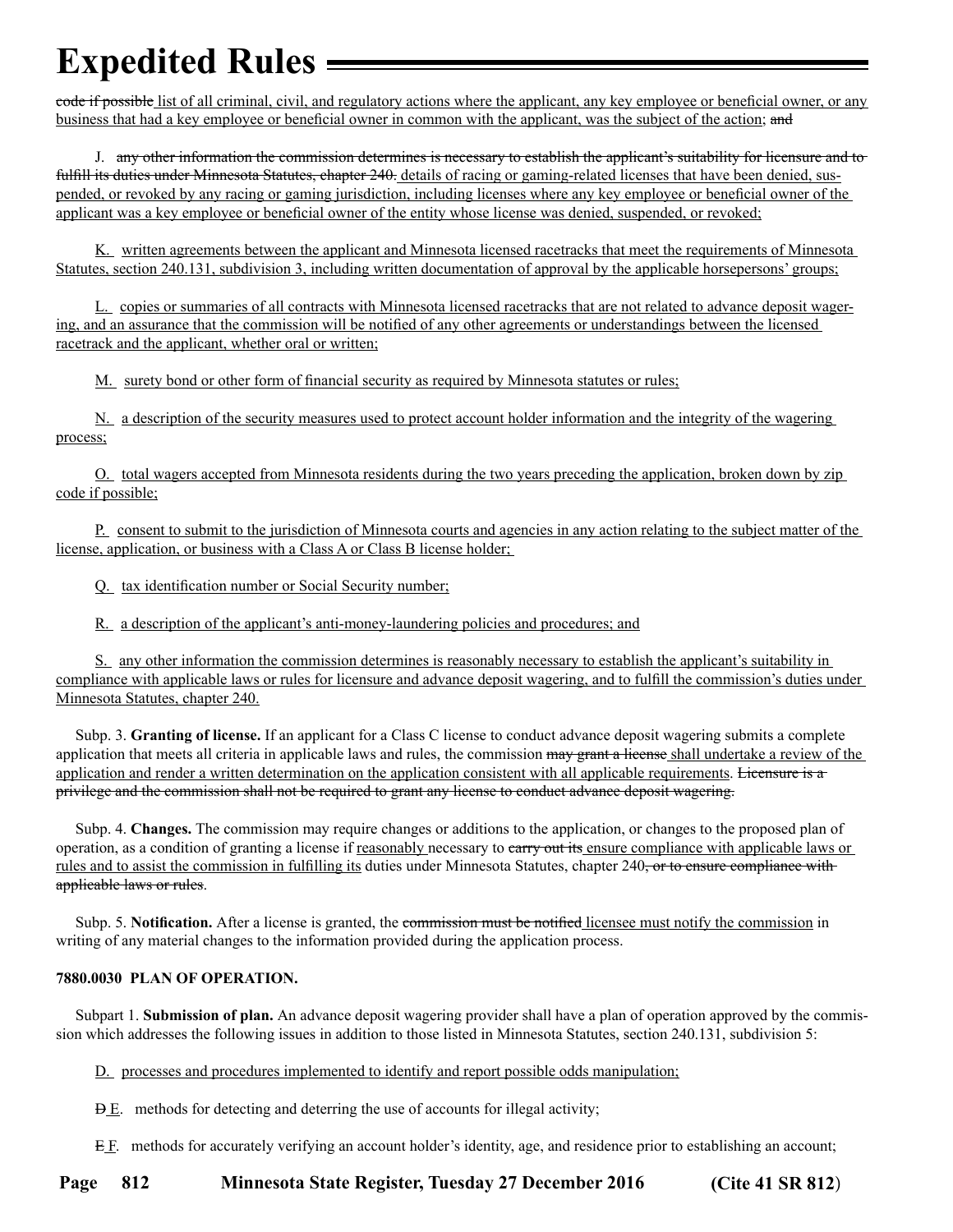code if possible list of all criminal, civil, and regulatory actions where the applicant, any key employee or beneficial owner, or any business that had a key employee or beneficial owner in common with the applicant, was the subject of the action; and

 J. any other information the commission determines is necessary to establish the applicant's suitability for licensure and to fulfill its duties under Minnesota Statutes, chapter 240. details of racing or gaming-related licenses that have been denied, suspended, or revoked by any racing or gaming jurisdiction, including licenses where any key employee or beneficial owner of the applicant was a key employee or beneficial owner of the entity whose license was denied, suspended, or revoked;

 K. written agreements between the applicant and Minnesota licensed racetracks that meet the requirements of Minnesota Statutes, section 240.131, subdivision 3, including written documentation of approval by the applicable horsepersons' groups;

 L. copies or summaries of all contracts with Minnesota licensed racetracks that are not related to advance deposit wagering, and an assurance that the commission will be notified of any other agreements or understandings between the licensed racetrack and the applicant, whether oral or written;

M. surety bond or other form of financial security as required by Minnesota statutes or rules;

 N. a description of the security measures used to protect account holder information and the integrity of the wagering process;

 O. total wagers accepted from Minnesota residents during the two years preceding the application, broken down by zip code if possible;

 P. consent to submit to the jurisdiction of Minnesota courts and agencies in any action relating to the subject matter of the license, application, or business with a Class A or Class B license holder;

Q. tax identification number or Social Security number;

R. a description of the applicant's anti-money-laundering policies and procedures; and

 S. any other information the commission determines is reasonably necessary to establish the applicant's suitability in compliance with applicable laws or rules for licensure and advance deposit wagering, and to fulfill the commission's duties under Minnesota Statutes, chapter 240.

 Subp. 3. **Granting of license.** If an applicant for a Class C license to conduct advance deposit wagering submits a complete application that meets all criteria in applicable laws and rules, the commission  $\frac{m}{q}$  and  $\frac{m}{r}$  a license shall undertake a review of the application and render a written determination on the application consistent with all applicable requirements. Licensure is a privilege and the commission shall not be required to grant any license to conduct advance deposit wagering.

 Subp. 4. **Changes.** The commission may require changes or additions to the application, or changes to the proposed plan of operation, as a condition of granting a license if reasonably necessary to carry out its ensure compliance with applicable laws or rules and to assist the commission in fulfilling its duties under Minnesota Statutes, chapter 240, or to ensure compliance with applicable laws or rules.

 Subp. 5. **Notification.** After a license is granted, the commission must be notified licensee must notify the commission in writing of any material changes to the information provided during the application process.

### **7880.0030 PLAN OF OPERATION.**

 Subpart 1. **Submission of plan.** An advance deposit wagering provider shall have a plan of operation approved by the commission which addresses the following issues in addition to those listed in Minnesota Statutes, section 240.131, subdivision 5:

D. processes and procedures implemented to identify and report possible odds manipulation;

D E. methods for detecting and deterring the use of accounts for illegal activity;

E. methods for accurately verifying an account holder's identity, age, and residence prior to establishing an account;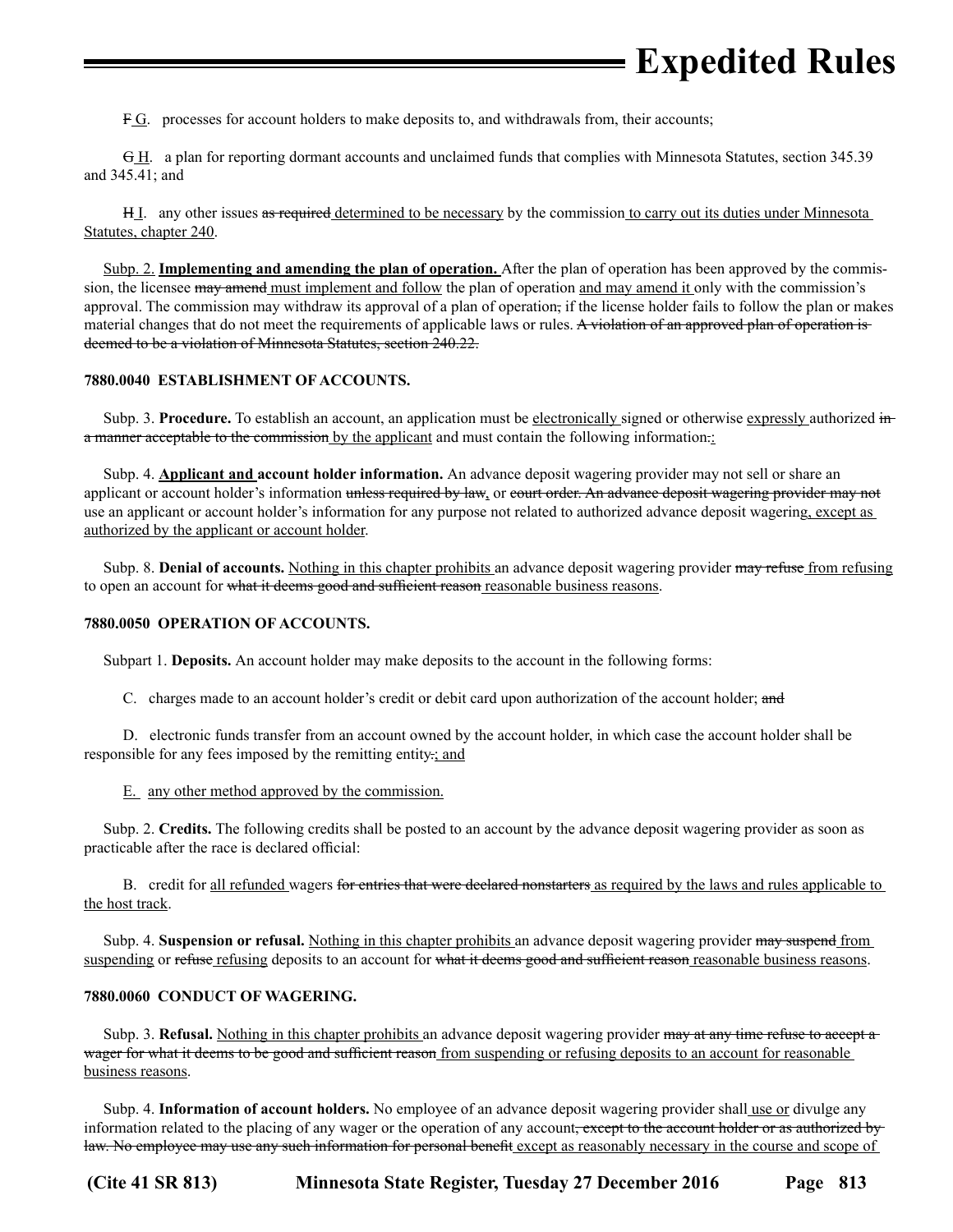F.G. processes for account holders to make deposits to, and withdrawals from, their accounts;

 G H. a plan for reporting dormant accounts and unclaimed funds that complies with Minnesota Statutes, section 345.39 and 345.41; and

H<sub>I</sub>. any other issues as required determined to be necessary by the commission to carry out its duties under Minnesota Statutes, chapter 240.

 Subp. 2. **Implementing and amending the plan of operation.** After the plan of operation has been approved by the commission, the licensee may amend must implement and follow the plan of operation and may amend it only with the commission's approval. The commission may withdraw its approval of a plan of operation, if the license holder fails to follow the plan or makes material changes that do not meet the requirements of applicable laws or rules. A violation of an approved plan of operation is deemed to be a violation of Minnesota Statutes, section 240.22.

### **7880.0040 ESTABLISHMENT OF ACCOUNTS.**

Subp. 3. **Procedure.** To establish an account, an application must be electronically signed or otherwise expressly authorized in a manner acceptable to the commission by the applicant and must contain the following information.

 Subp. 4. **Applicant and account holder information.** An advance deposit wagering provider may not sell or share an applicant or account holder's information unless required by law, or court order. An advance deposit wagering provider may not use an applicant or account holder's information for any purpose not related to authorized advance deposit wagering, except as authorized by the applicant or account holder.

Subp. 8. **Denial of accounts.** Nothing in this chapter prohibits an advance deposit wagering provider may refuse from refusing to open an account for what it deems good and sufficient reason reasonable business reasons.

### **7880.0050 OPERATION OF ACCOUNTS.**

Subpart 1. **Deposits.** An account holder may make deposits to the account in the following forms:

C. charges made to an account holder's credit or debit card upon authorization of the account holder; and

 D. electronic funds transfer from an account owned by the account holder, in which case the account holder shall be responsible for any fees imposed by the remitting entity.; and

E. any other method approved by the commission.

 Subp. 2. **Credits.** The following credits shall be posted to an account by the advance deposit wagering provider as soon as practicable after the race is declared official:

B. credit for all refunded wagers for entries that were declared nonstarters as required by the laws and rules applicable to the host track.

 Subp. 4. **Suspension or refusal.** Nothing in this chapter prohibits an advance deposit wagering provider may suspend from suspending or refuse refusing deposits to an account for what it deems good and sufficient reason reasonable business reasons.

### **7880.0060 CONDUCT OF WAGERING.**

Subp. 3. **Refusal.** Nothing in this chapter prohibits an advance deposit wagering provider may at any time refuse to accept a wager for what it deems to be good and sufficient reason from suspending or refusing deposits to an account for reasonable business reasons.

Subp. 4. **Information of account holders.** No employee of an advance deposit wagering provider shall use or divulge any information related to the placing of any wager or the operation of any account, except to the account holder or as authorized by law. No employee may use any such information for personal benefit except as reasonably necessary in the course and scope of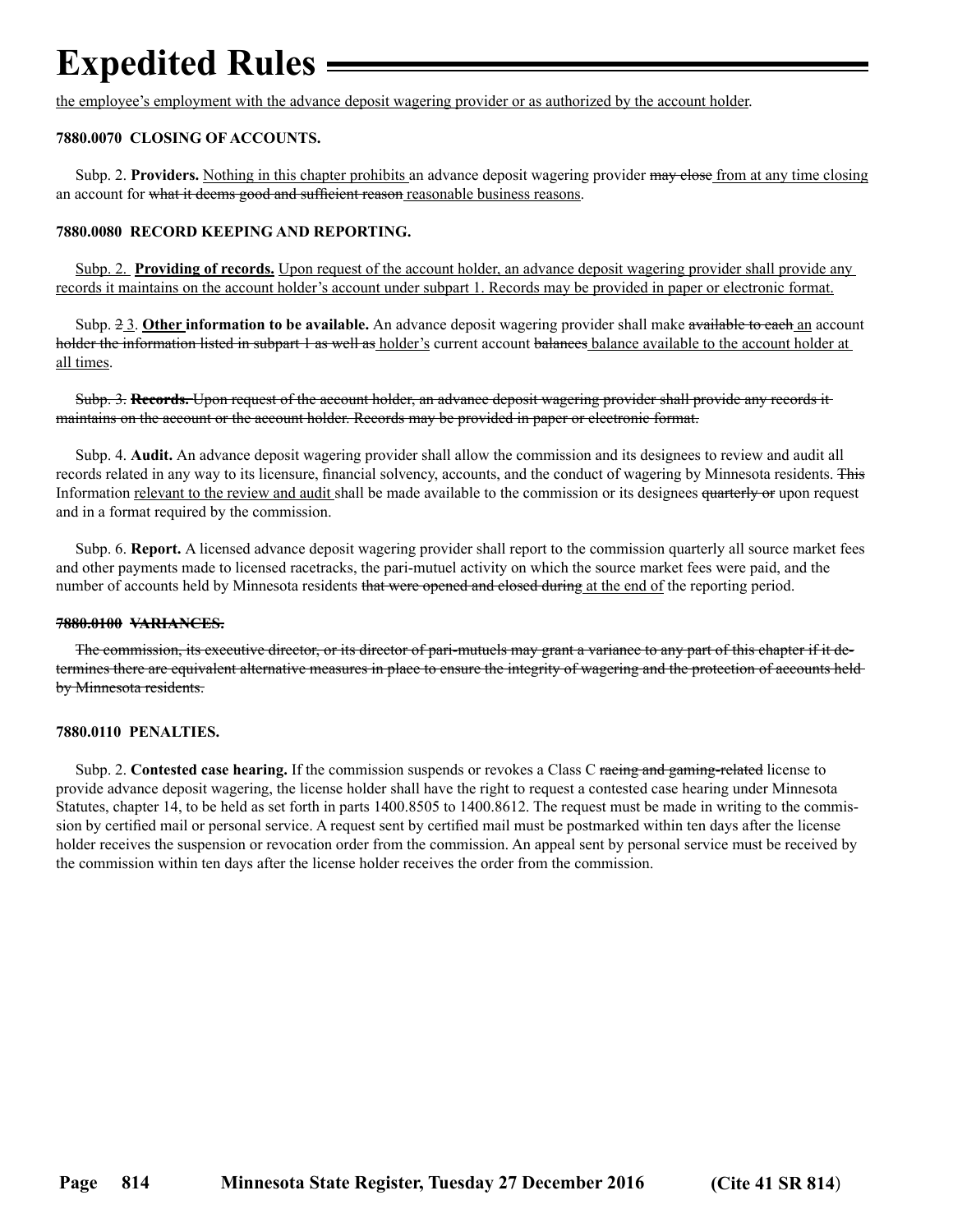the employee's employment with the advance deposit wagering provider or as authorized by the account holder.

### **7880.0070 CLOSING OF ACCOUNTS.**

 Subp. 2. **Providers.** Nothing in this chapter prohibits an advance deposit wagering provider may close from at any time closing an account for what it deems good and sufficient reason reasonable business reasons.

#### **7880.0080 RECORD KEEPING AND REPORTING.**

Subp. 2. **Providing of records.** Upon request of the account holder, an advance deposit wagering provider shall provide any records it maintains on the account holder's account under subpart 1. Records may be provided in paper or electronic format.

 Subp. 2 3. **Other information to be available.** An advance deposit wagering provider shall make available to each an account holder the information listed in subpart 1 as well as holder's current account balances balance available to the account holder at all times.

 Subp. 3. **Records.** Upon request of the account holder, an advance deposit wagering provider shall provide any records it maintains on the account or the account holder. Records may be provided in paper or electronic format.

 Subp. 4. **Audit.** An advance deposit wagering provider shall allow the commission and its designees to review and audit all records related in any way to its licensure, financial solvency, accounts, and the conduct of wagering by Minnesota residents. This Information relevant to the review and audit shall be made available to the commission or its designees quarterly or upon request and in a format required by the commission.

 Subp. 6. **Report.** A licensed advance deposit wagering provider shall report to the commission quarterly all source market fees and other payments made to licensed racetracks, the pari-mutuel activity on which the source market fees were paid, and the number of accounts held by Minnesota residents that were opened and closed during at the end of the reporting period.

#### **7880.0100 VARIANCES.**

 The commission, its executive director, or its director of pari-mutuels may grant a variance to any part of this chapter if it determines there are equivalent alternative measures in place to ensure the integrity of wagering and the protection of accounts held by Minnesota residents.

### **7880.0110 PENALTIES.**

 Subp. 2. **Contested case hearing.** If the commission suspends or revokes a Class C racing and gaming-related license to provide advance deposit wagering, the license holder shall have the right to request a contested case hearing under Minnesota Statutes, chapter 14, to be held as set forth in parts 1400.8505 to 1400.8612. The request must be made in writing to the commission by certified mail or personal service. A request sent by certified mail must be postmarked within ten days after the license holder receives the suspension or revocation order from the commission. An appeal sent by personal service must be received by the commission within ten days after the license holder receives the order from the commission.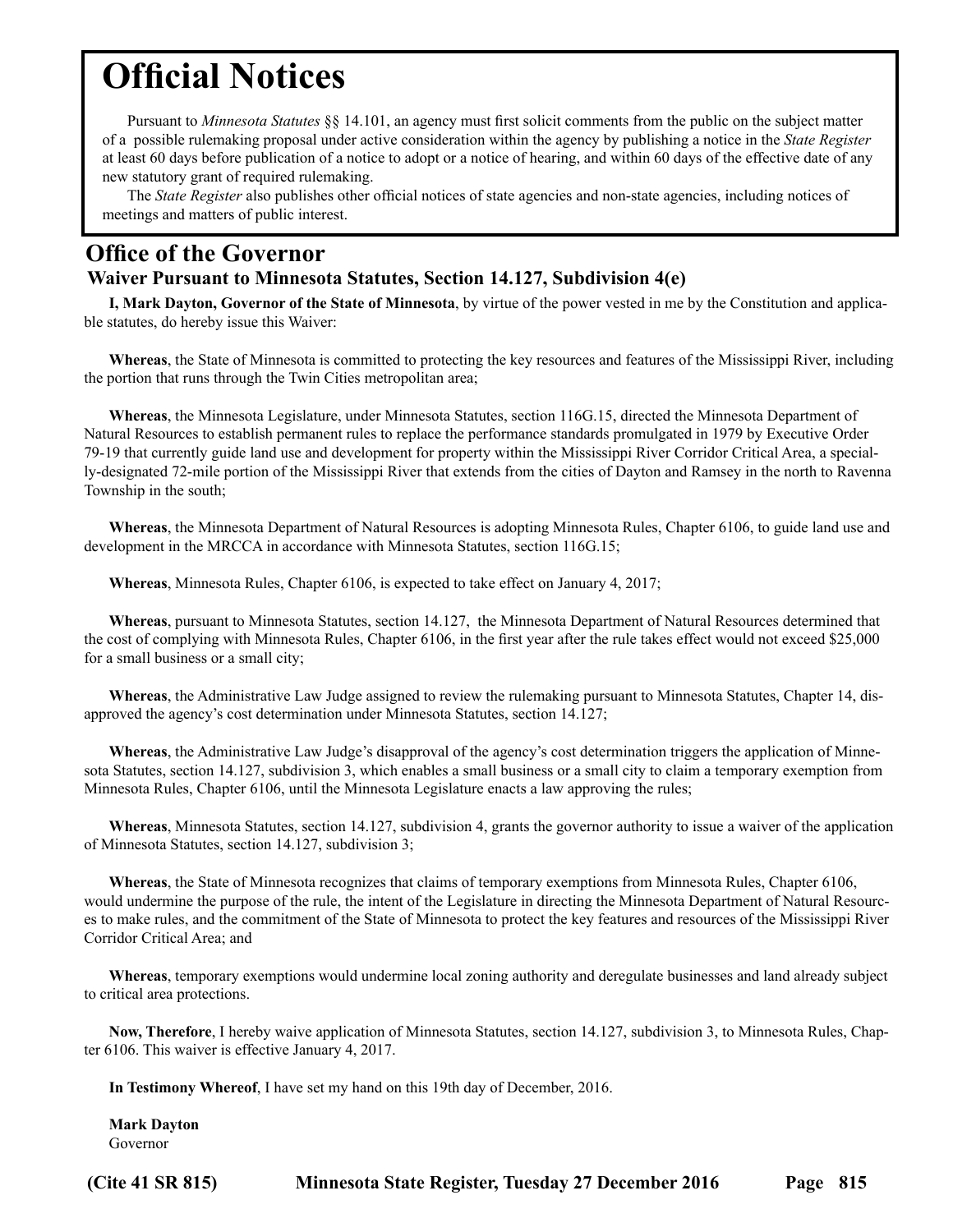## <span id="page-20-0"></span>**Official Notices**

Pursuant to *Minnesota Statutes* §§ 14.101, an agency must first solicit comments from the public on the subject matter of a possible rulemaking proposal under active consideration within the agency by publishing a notice in the *State Register*  at least 60 days before publication of a notice to adopt or a notice of hearing, and within 60 days of the effective date of any new statutory grant of required rulemaking.

The *State Register* also publishes other official notices of state agencies and non-state agencies, including notices of meetings and matters of public interest.

## **Office of the Governor**

## **Waiver Pursuant to Minnesota Statutes, Section 14.127, Subdivision 4(e)**

**I, Mark Dayton, Governor of the State of Minnesota**, by virtue of the power vested in me by the Constitution and applicable statutes, do hereby issue this Waiver:

**Whereas**, the State of Minnesota is committed to protecting the key resources and features of the Mississippi River, including the portion that runs through the Twin Cities metropolitan area;

**Whereas**, the Minnesota Legislature, under Minnesota Statutes, section 116G.15, directed the Minnesota Department of Natural Resources to establish permanent rules to replace the performance standards promulgated in 1979 by Executive Order 79-19 that currently guide land use and development for property within the Mississippi River Corridor Critical Area, a specially-designated 72-mile portion of the Mississippi River that extends from the cities of Dayton and Ramsey in the north to Ravenna Township in the south;

**Whereas**, the Minnesota Department of Natural Resources is adopting Minnesota Rules, Chapter 6106, to guide land use and development in the MRCCA in accordance with Minnesota Statutes, section 116G.15;

**Whereas**, Minnesota Rules, Chapter 6106, is expected to take effect on January 4, 2017;

**Whereas**, pursuant to Minnesota Statutes, section 14.127, the Minnesota Department of Natural Resources determined that the cost of complying with Minnesota Rules, Chapter 6106, in the first year after the rule takes effect would not exceed \$25,000 for a small business or a small city;

**Whereas**, the Administrative Law Judge assigned to review the rulemaking pursuant to Minnesota Statutes, Chapter 14, disapproved the agency's cost determination under Minnesota Statutes, section 14.127;

**Whereas**, the Administrative Law Judge's disapproval of the agency's cost determination triggers the application of Minnesota Statutes, section 14.127, subdivision 3, which enables a small business or a small city to claim a temporary exemption from Minnesota Rules, Chapter 6106, until the Minnesota Legislature enacts a law approving the rules;

**Whereas**, Minnesota Statutes, section 14.127, subdivision 4, grants the governor authority to issue a waiver of the application of Minnesota Statutes, section 14.127, subdivision 3;

**Whereas**, the State of Minnesota recognizes that claims of temporary exemptions from Minnesota Rules, Chapter 6106, would undermine the purpose of the rule, the intent of the Legislature in directing the Minnesota Department of Natural Resources to make rules, and the commitment of the State of Minnesota to protect the key features and resources of the Mississippi River Corridor Critical Area; and

**Whereas**, temporary exemptions would undermine local zoning authority and deregulate businesses and land already subject to critical area protections.

**Now, Therefore**, I hereby waive application of Minnesota Statutes, section 14.127, subdivision 3, to Minnesota Rules, Chapter 6106. This waiver is effective January 4, 2017.

**In Testimony Whereof**, I have set my hand on this 19th day of December, 2016.

**Mark Dayton** Governor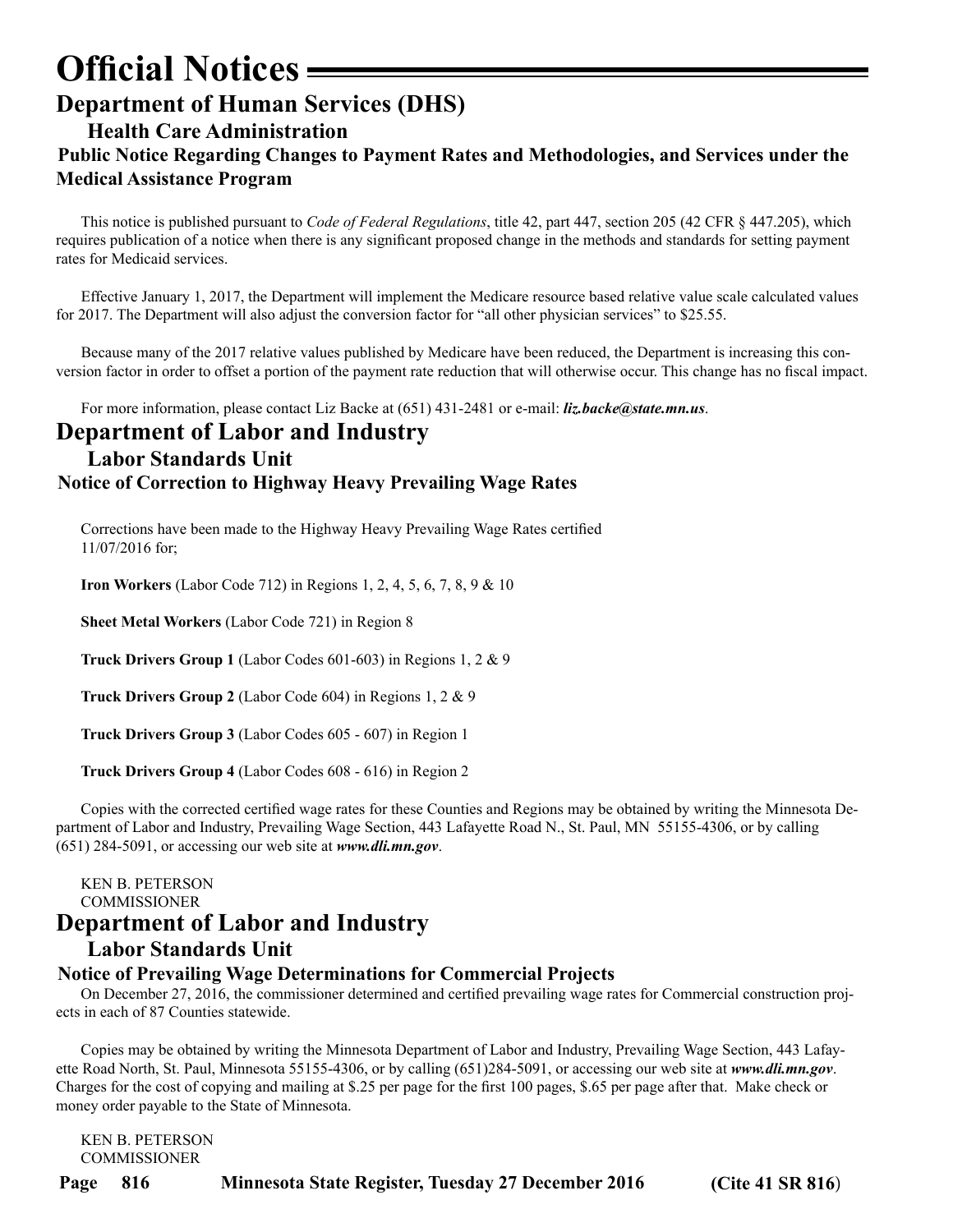## <span id="page-21-0"></span>**Official Notices Department of Human Services (DHS)**

**Health Care Administration**

## **Public Notice Regarding Changes to Payment Rates and Methodologies, and Services under the Medical Assistance Program**

This notice is published pursuant to *Code of Federal Regulations*, title 42, part 447, section 205 (42 CFR § 447.205), which requires publication of a notice when there is any significant proposed change in the methods and standards for setting payment rates for Medicaid services.

Effective January 1, 2017, the Department will implement the Medicare resource based relative value scale calculated values for 2017. The Department will also adjust the conversion factor for "all other physician services" to \$25.55.

Because many of the 2017 relative values published by Medicare have been reduced, the Department is increasing this conversion factor in order to offset a portion of the payment rate reduction that will otherwise occur. This change has no fiscal impact.

For more information, please contact Liz Backe at (651) 431-2481 or e-mail: *liz.backe@state.mn.us*.

## **Department of Labor and Industry Labor Standards Unit Notice of Correction to Highway Heavy Prevailing Wage Rates**

Corrections have been made to the Highway Heavy Prevailing Wage Rates certified 11/07/2016 for;

**Iron Workers** (Labor Code 712) in Regions 1, 2, 4, 5, 6, 7, 8, 9 & 10

**Sheet Metal Workers** (Labor Code 721) in Region 8

**Truck Drivers Group 1** (Labor Codes 601-603) in Regions 1, 2 & 9

**Truck Drivers Group 2** (Labor Code 604) in Regions 1, 2 & 9

**Truck Drivers Group 3** (Labor Codes 605 - 607) in Region 1

**Truck Drivers Group 4** (Labor Codes 608 - 616) in Region 2

Copies with the corrected certified wage rates for these Counties and Regions may be obtained by writing the Minnesota Department of Labor and Industry, Prevailing Wage Section, 443 Lafayette Road N., St. Paul, MN 55155-4306, or by calling (651) 284-5091, or accessing our web site at *www.dli.mn.gov*.

### KEN B. PETERSON COMMISSIONER **Department of Labor and Industry**

## **Labor Standards Unit**

### **Notice of Prevailing Wage Determinations for Commercial Projects**

On December 27, 2016, the commissioner determined and certified prevailing wage rates for Commercial construction projects in each of 87 Counties statewide.

Copies may be obtained by writing the Minnesota Department of Labor and Industry, Prevailing Wage Section, 443 Lafayette Road North, St. Paul, Minnesota 55155-4306, or by calling (651)284-5091, or accessing our web site at *www.dli.mn.gov*. Charges for the cost of copying and mailing at \$.25 per page for the first 100 pages, \$.65 per page after that. Make check or money order payable to the State of Minnesota.

KEN B. PETERSON COMMISSIONER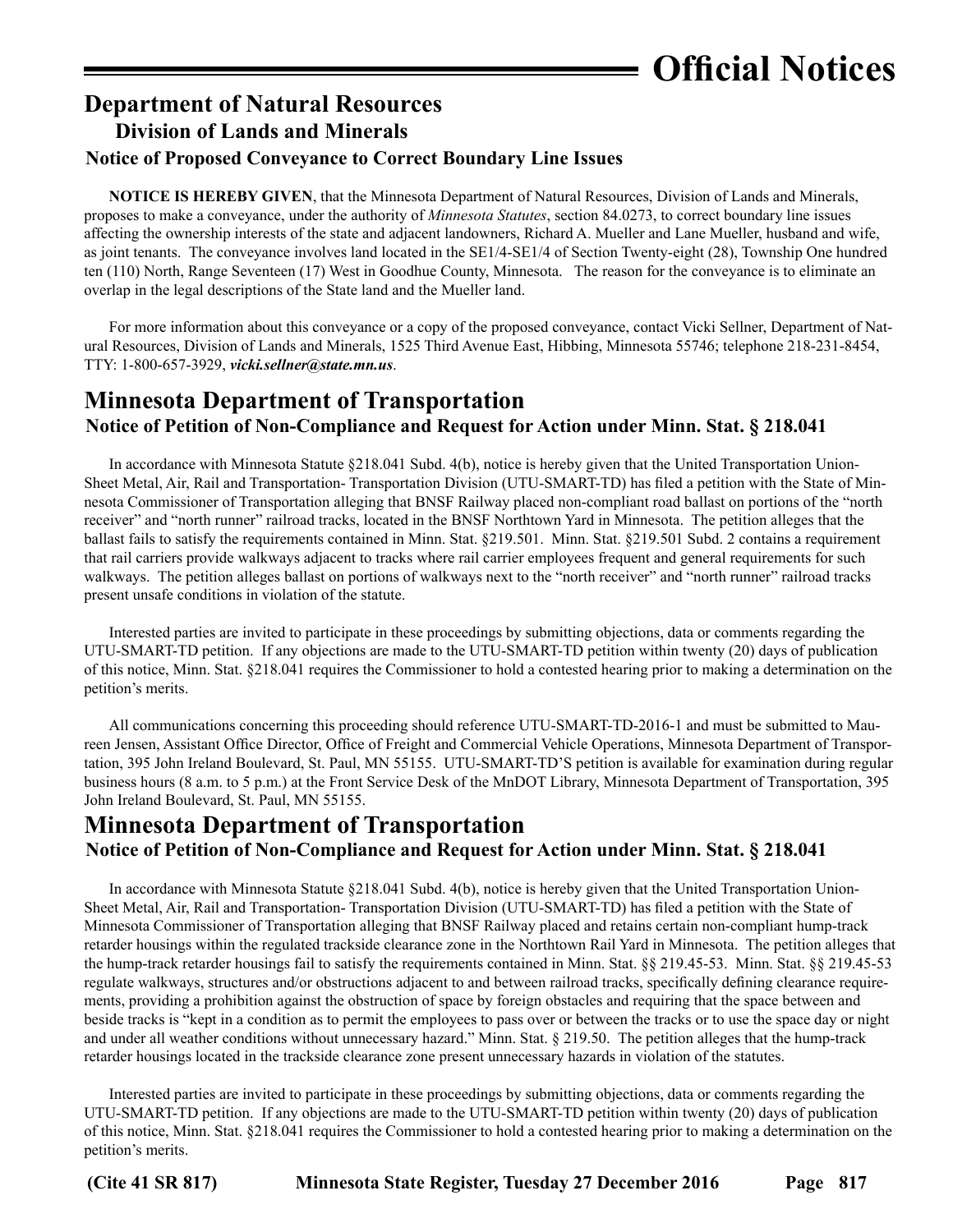## <span id="page-22-0"></span>**Department of Natural Resources Division of Lands and Minerals Notice of Proposed Conveyance to Correct Boundary Line Issues**

**NOTICE IS HEREBY GIVEN**, that the Minnesota Department of Natural Resources, Division of Lands and Minerals, proposes to make a conveyance, under the authority of *Minnesota Statutes*, section 84.0273, to correct boundary line issues affecting the ownership interests of the state and adjacent landowners, Richard A. Mueller and Lane Mueller, husband and wife, as joint tenants. The conveyance involves land located in the SE1/4-SE1/4 of Section Twenty-eight (28), Township One hundred ten (110) North, Range Seventeen (17) West in Goodhue County, Minnesota. The reason for the conveyance is to eliminate an overlap in the legal descriptions of the State land and the Mueller land.

For more information about this conveyance or a copy of the proposed conveyance, contact Vicki Sellner, Department of Natural Resources, Division of Lands and Minerals, 1525 Third Avenue East, Hibbing, Minnesota 55746; telephone 218-231-8454, TTY: 1-800-657-3929, *vicki.sellner@state.mn.us*.

## **Minnesota Department of Transportation Notice of Petition of Non-Compliance and Request for Action under Minn. Stat. § 218.041**

In accordance with Minnesota Statute §218.041 Subd. 4(b), notice is hereby given that the United Transportation Union-Sheet Metal, Air, Rail and Transportation- Transportation Division (UTU-SMART-TD) has filed a petition with the State of Minnesota Commissioner of Transportation alleging that BNSF Railway placed non-compliant road ballast on portions of the "north receiver" and "north runner" railroad tracks, located in the BNSF Northtown Yard in Minnesota. The petition alleges that the ballast fails to satisfy the requirements contained in Minn. Stat. §219.501. Minn. Stat. §219.501 Subd. 2 contains a requirement that rail carriers provide walkways adjacent to tracks where rail carrier employees frequent and general requirements for such walkways. The petition alleges ballast on portions of walkways next to the "north receiver" and "north runner" railroad tracks present unsafe conditions in violation of the statute.

Interested parties are invited to participate in these proceedings by submitting objections, data or comments regarding the UTU-SMART-TD petition. If any objections are made to the UTU-SMART-TD petition within twenty (20) days of publication of this notice, Minn. Stat. §218.041 requires the Commissioner to hold a contested hearing prior to making a determination on the petition's merits.

All communications concerning this proceeding should reference UTU-SMART-TD-2016-1 and must be submitted to Maureen Jensen, Assistant Office Director, Office of Freight and Commercial Vehicle Operations, Minnesota Department of Transportation, 395 John Ireland Boulevard, St. Paul, MN 55155. UTU-SMART-TD'S petition is available for examination during regular business hours (8 a.m. to 5 p.m.) at the Front Service Desk of the MnDOT Library, Minnesota Department of Transportation, 395 John Ireland Boulevard, St. Paul, MN 55155.

## **Minnesota Department of Transportation Notice of Petition of Non-Compliance and Request for Action under Minn. Stat. § 218.041**

In accordance with Minnesota Statute §218.041 Subd. 4(b), notice is hereby given that the United Transportation Union-Sheet Metal, Air, Rail and Transportation- Transportation Division (UTU-SMART-TD) has filed a petition with the State of Minnesota Commissioner of Transportation alleging that BNSF Railway placed and retains certain non-compliant hump-track retarder housings within the regulated trackside clearance zone in the Northtown Rail Yard in Minnesota. The petition alleges that the hump-track retarder housings fail to satisfy the requirements contained in Minn. Stat. §§ 219.45-53. Minn. Stat. §§ 219.45-53 regulate walkways, structures and/or obstructions adjacent to and between railroad tracks, specifically defining clearance requirements, providing a prohibition against the obstruction of space by foreign obstacles and requiring that the space between and beside tracks is "kept in a condition as to permit the employees to pass over or between the tracks or to use the space day or night and under all weather conditions without unnecessary hazard." Minn. Stat. § 219.50. The petition alleges that the hump-track retarder housings located in the trackside clearance zone present unnecessary hazards in violation of the statutes.

Interested parties are invited to participate in these proceedings by submitting objections, data or comments regarding the UTU-SMART-TD petition. If any objections are made to the UTU-SMART-TD petition within twenty (20) days of publication of this notice, Minn. Stat. §218.041 requires the Commissioner to hold a contested hearing prior to making a determination on the petition's merits.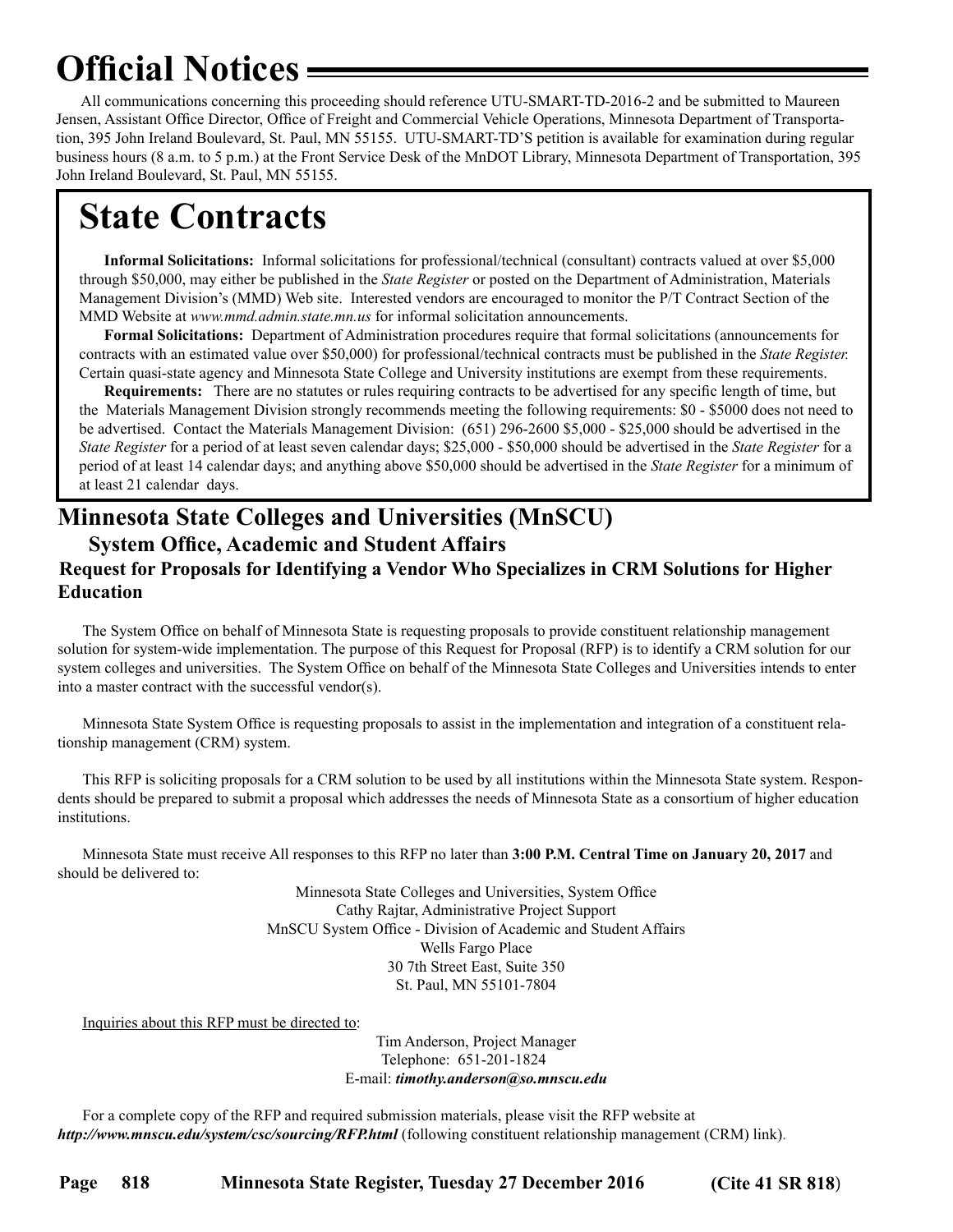## <span id="page-23-0"></span>**Official Notices**

All communications concerning this proceeding should reference UTU-SMART-TD-2016-2 and be submitted to Maureen Jensen, Assistant Office Director, Office of Freight and Commercial Vehicle Operations, Minnesota Department of Transportation, 395 John Ireland Boulevard, St. Paul, MN 55155. UTU-SMART-TD'S petition is available for examination during regular business hours (8 a.m. to 5 p.m.) at the Front Service Desk of the MnDOT Library, Minnesota Department of Transportation, 395 John Ireland Boulevard, St. Paul, MN 55155.

## **State Contracts**

**Informal Solicitations:** Informal solicitations for professional/technical (consultant) contracts valued at over \$5,000 through \$50,000, may either be published in the *State Register* or posted on the Department of Administration, Materials Management Division's (MMD) Web site. Interested vendors are encouraged to monitor the P/T Contract Section of the MMD Website at *www.mmd.admin.state.mn.us* for informal solicitation announcements.

**Formal Solicitations:** Department of Administration procedures require that formal solicitations (announcements for contracts with an estimated value over \$50,000) for professional/technical contracts must be published in the *State Register.* Certain quasi-state agency and Minnesota State College and University institutions are exempt from these requirements.

**Requirements:** There are no statutes or rules requiring contracts to be advertised for any specific length of time, but the Materials Management Division strongly recommends meeting the following requirements: \$0 - \$5000 does not need to be advertised. Contact the Materials Management Division: (651) 296-2600 \$5,000 - \$25,000 should be advertised in the *State Register* for a period of at least seven calendar days; \$25,000 - \$50,000 should be advertised in the *State Register* for a period of at least 14 calendar days; and anything above \$50,000 should be advertised in the *State Register* for a minimum of at least 21 calendar days.

## **Minnesota State Colleges and Universities (MnSCU) System Office, Academic and Student Affairs**

### **Request for Proposals for Identifying a Vendor Who Specializes in CRM Solutions for Higher Education**

The System Office on behalf of Minnesota State is requesting proposals to provide constituent relationship management solution for system-wide implementation. The purpose of this Request for Proposal (RFP) is to identify a CRM solution for our system colleges and universities. The System Office on behalf of the Minnesota State Colleges and Universities intends to enter into a master contract with the successful vendor(s).

Minnesota State System Office is requesting proposals to assist in the implementation and integration of a constituent relationship management (CRM) system.

This RFP is soliciting proposals for a CRM solution to be used by all institutions within the Minnesota State system. Respondents should be prepared to submit a proposal which addresses the needs of Minnesota State as a consortium of higher education institutions.

Minnesota State must receive All responses to this RFP no later than **3:00 P.M. Central Time on January 20, 2017** and should be delivered to:

> Minnesota State Colleges and Universities, System Office Cathy Rajtar, Administrative Project Support MnSCU System Office - Division of Academic and Student Affairs Wells Fargo Place 30 7th Street East, Suite 350 St. Paul, MN 55101-7804

Inquiries about this RFP must be directed to:

Tim Anderson, Project Manager Telephone: 651-201-1824 E-mail: *[timothy.anderson@so.mnscu.edu](mailto:timothy.anderson@so.mnscu.edu?subject=Minnesota%20State%20CRM%20RFP)*

For a complete copy of the RFP and required submission materials, please visit the RFP website at *<http://www.mnscu.edu/system/csc/sourcing/RFP.html>* (following constituent relationship management (CRM) link).

**Page 818 Minnesota State Register, Tuesday 27 December 2016 (Cite 41 SR 818**)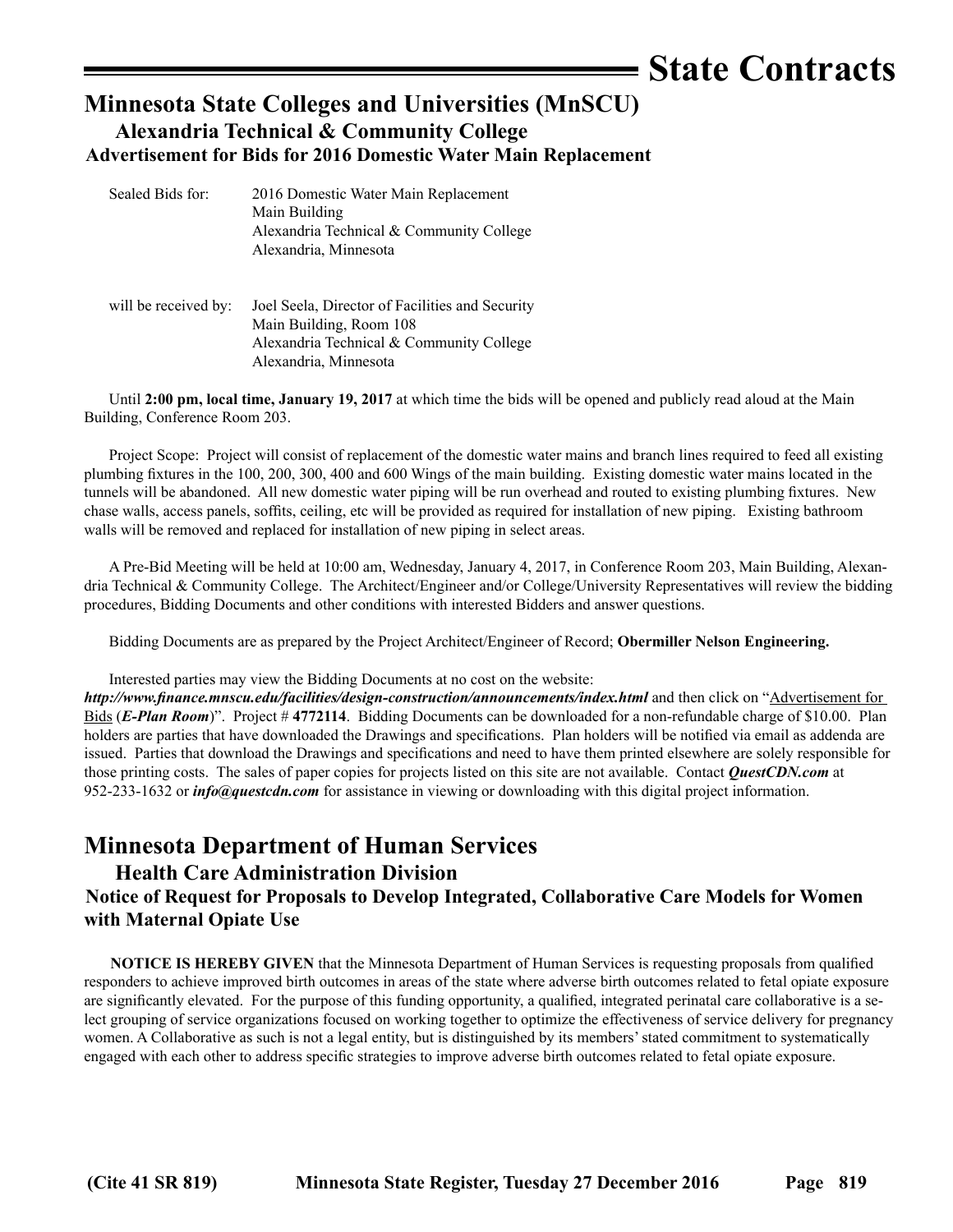## **State Contracts**

## <span id="page-24-0"></span>**Minnesota State Colleges and Universities (MnSCU) Alexandria Technical & Community College Advertisement for Bids for 2016 Domestic Water Main Replacement**

| Sealed Bids for:     | 2016 Domestic Water Main Replacement<br>Main Building<br>Alexandria Technical & Community College<br>Alexandria, Minnesota                      |
|----------------------|-------------------------------------------------------------------------------------------------------------------------------------------------|
| will be received by: | Joel Seela, Director of Facilities and Security<br>Main Building, Room 108<br>Alexandria Technical & Community College<br>Alexandria. Minnesota |

Until **2:00 pm, local time, January 19, 2017** at which time the bids will be opened and publicly read aloud at the Main Building, Conference Room 203.

Project Scope: Project will consist of replacement of the domestic water mains and branch lines required to feed all existing plumbing fixtures in the 100, 200, 300, 400 and 600 Wings of the main building. Existing domestic water mains located in the tunnels will be abandoned. All new domestic water piping will be run overhead and routed to existing plumbing fixtures. New chase walls, access panels, soffits, ceiling, etc will be provided as required for installation of new piping. Existing bathroom walls will be removed and replaced for installation of new piping in select areas.

A Pre-Bid Meeting will be held at 10:00 am, Wednesday, January 4, 2017, in Conference Room 203, Main Building, Alexandria Technical & Community College. The Architect/Engineer and/or College/University Representatives will review the bidding procedures, Bidding Documents and other conditions with interested Bidders and answer questions.

Bidding Documents are as prepared by the Project Architect/Engineer of Record; **Obermiller Nelson Engineering.**

Interested parties may view the Bidding Documents at no cost on the website:

*<http://www.finance.mnscu.edu/facilities/design-construction/announcements/index.html>* and then click on "Advertisement for Bids (*E-Plan Room*)". Project # **4772114**. Bidding Documents can be downloaded for a non-refundable charge of \$10.00. Plan holders are parties that have downloaded the Drawings and specifications. Plan holders will be notified via email as addenda are issued. Parties that download the Drawings and specifications and need to have them printed elsewhere are solely responsible for those printing costs. The sales of paper copies for projects listed on this site are not available. Contact *QuestCDN.com* at 952-233-1632 or *[info@questcdn.com](mailto:infow@questcdn.com)* for assistance in viewing or downloading with this digital project information.

## **Minnesota Department of Human Services**

### **Health Care Administration Division**

### **Notice of Request for Proposals to Develop Integrated, Collaborative Care Models for Women with Maternal Opiate Use**

**NOTICE IS HEREBY GIVEN** that the Minnesota Department of Human Services is requesting proposals from qualified responders to achieve improved birth outcomes in areas of the state where adverse birth outcomes related to fetal opiate exposure are significantly elevated. For the purpose of this funding opportunity, a qualified, integrated perinatal care collaborative is a select grouping of service organizations focused on working together to optimize the effectiveness of service delivery for pregnancy women. A Collaborative as such is not a legal entity, but is distinguished by its members' stated commitment to systematically engaged with each other to address specific strategies to improve adverse birth outcomes related to fetal opiate exposure.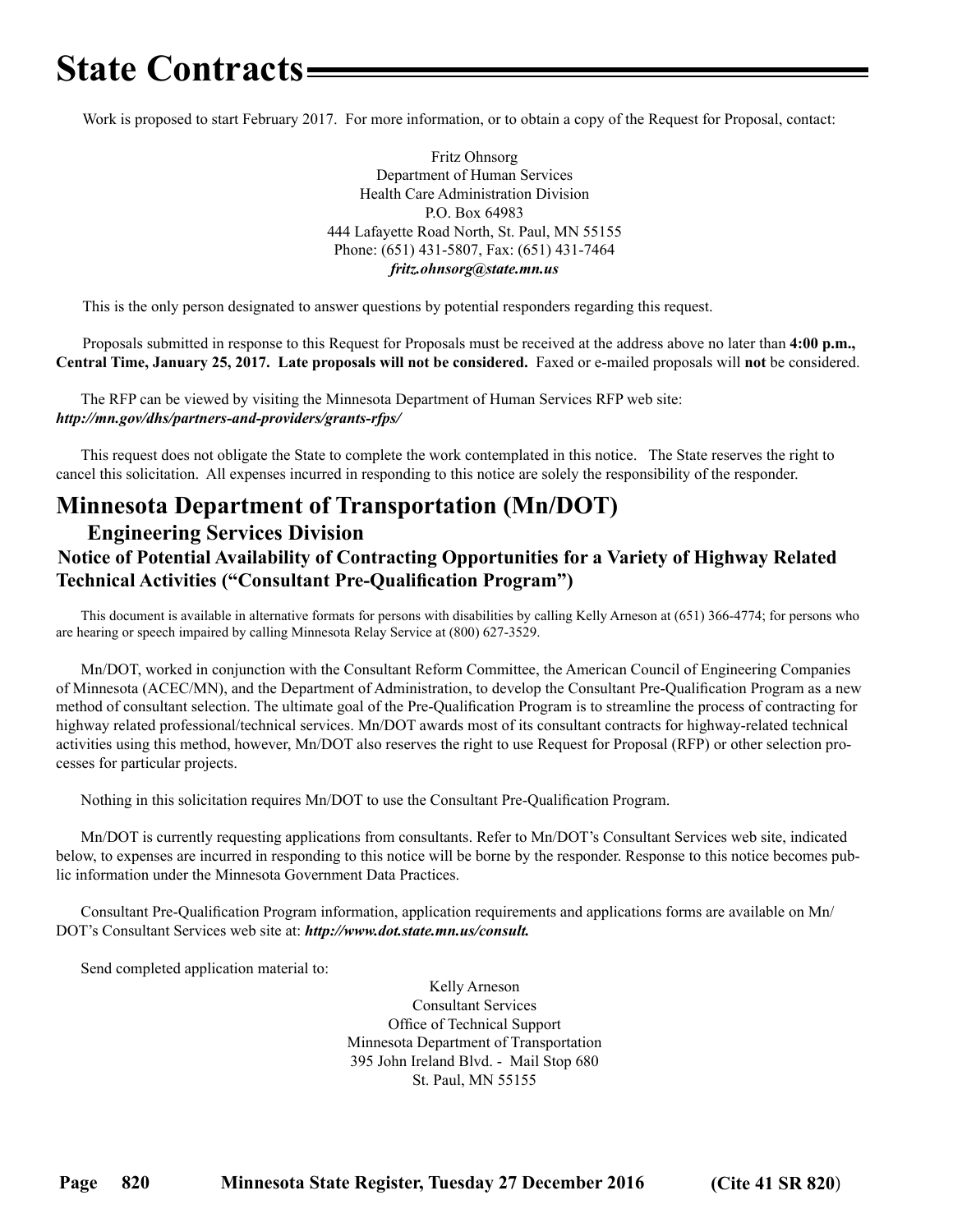## <span id="page-25-0"></span>**State Contracts**

Work is proposed to start February 2017. For more information, or to obtain a copy of the Request for Proposal, contact:

Fritz Ohnsorg Department of Human Services Health Care Administration Division P.O. Box 64983 444 Lafayette Road North, St. Paul, MN 55155 Phone: (651) 431-5807, Fax: (651) 431-7464 *[fritz.ohnsorg@state.mn.us](mailto:fritz.ohnsorg@state.mn.us)*

This is the only person designated to answer questions by potential responders regarding this request.

Proposals submitted in response to this Request for Proposals must be received at the address above no later than **4:00 p.m., Central Time, January 25, 2017. Late proposals will not be considered.** Faxed or e-mailed proposals will **not** be considered.

The RFP can be viewed by visiting the Minnesota Department of Human Services RFP web site: *<http://mn.gov/dhs/partners-and-providers/grants-rfps/>*

This request does not obligate the State to complete the work contemplated in this notice. The State reserves the right to cancel this solicitation. All expenses incurred in responding to this notice are solely the responsibility of the responder.

## **Minnesota Department of Transportation (Mn/DOT)**

### **Engineering Services Division Notice of Potential Availability of Contracting Opportunities for a Variety of Highway Related Technical Activities ("Consultant Pre-Qualification Program")**

This document is available in alternative formats for persons with disabilities by calling Kelly Arneson at (651) 366-4774; for persons who are hearing or speech impaired by calling Minnesota Relay Service at (800) 627-3529.

Mn/DOT, worked in conjunction with the Consultant Reform Committee, the American Council of Engineering Companies of Minnesota (ACEC/MN), and the Department of Administration, to develop the Consultant Pre-Qualification Program as a new method of consultant selection. The ultimate goal of the Pre-Qualification Program is to streamline the process of contracting for highway related professional/technical services. Mn/DOT awards most of its consultant contracts for highway-related technical activities using this method, however, Mn/DOT also reserves the right to use Request for Proposal (RFP) or other selection processes for particular projects.

Nothing in this solicitation requires Mn/DOT to use the Consultant Pre-Qualification Program.

Mn/DOT is currently requesting applications from consultants. Refer to Mn/DOT's Consultant Services web site, indicated below, to expenses are incurred in responding to this notice will be borne by the responder. Response to this notice becomes public information under the Minnesota Government Data Practices.

Consultant Pre-Qualification Program information, application requirements and applications forms are available on Mn/ DOT's Consultant Services web site at: *http://www.dot.state.mn.us/consult.*

Send completed application material to:

Kelly Arneson Consultant Services Office of Technical Support Minnesota Department of Transportation 395 John Ireland Blvd. - Mail Stop 680 St. Paul, MN 55155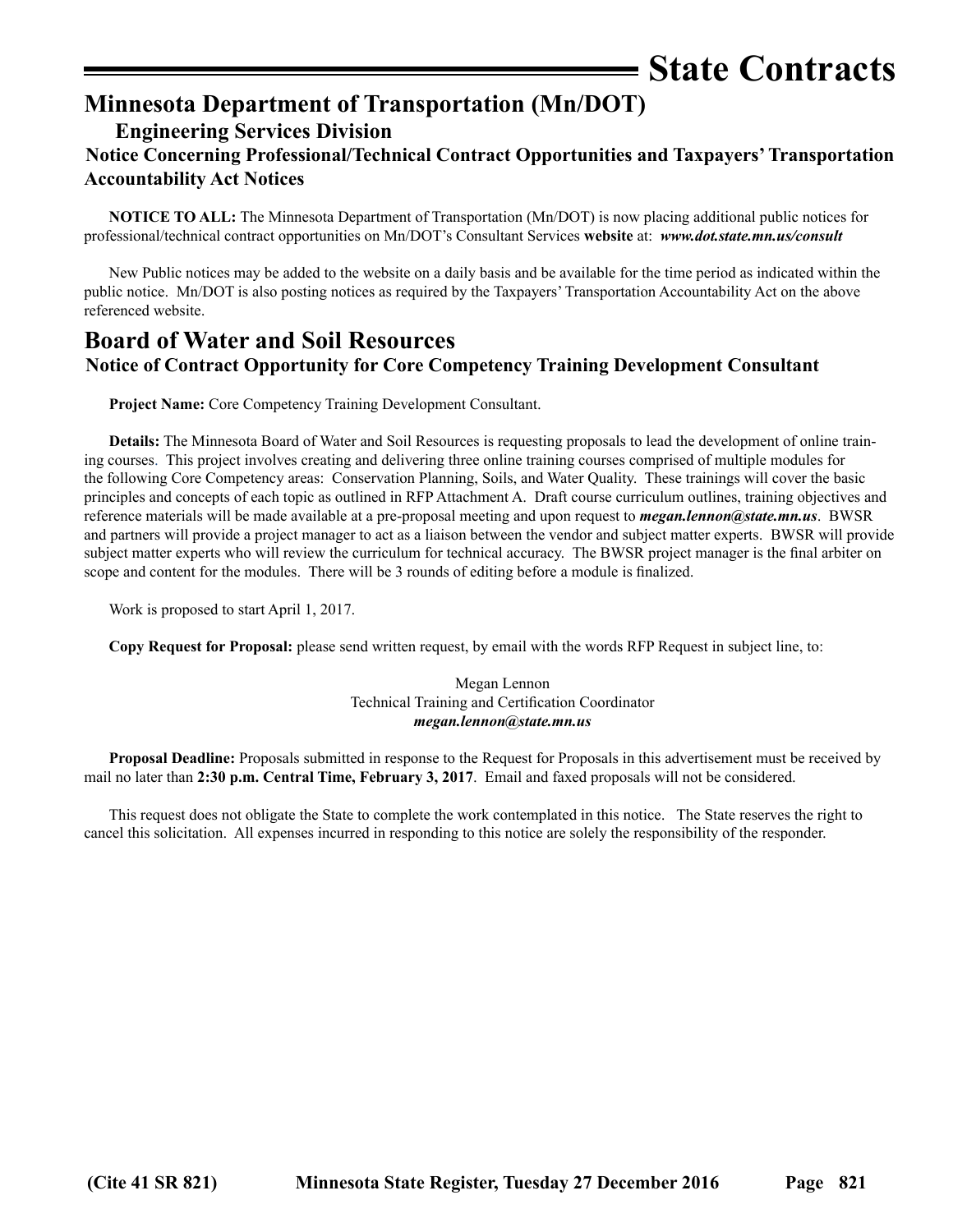**State Contracts**

## <span id="page-26-0"></span>**Minnesota Department of Transportation (Mn/DOT)**

## **Engineering Services Division**

## **Notice Concerning Professional/Technical Contract Opportunities and Taxpayers' Transportation Accountability Act Notices**

**NOTICE TO ALL:** The Minnesota Department of Transportation (Mn/DOT) is now placing additional public notices for professional/technical contract opportunities on Mn/DOT's Consultant Services **website** at: *www.dot.state.mn.us/consult*

New Public notices may be added to the website on a daily basis and be available for the time period as indicated within the public notice. Mn/DOT is also posting notices as required by the Taxpayers' Transportation Accountability Act on the above referenced website.

## **Board of Water and Soil Resources Notice of Contract Opportunity for Core Competency Training Development Consultant**

**Project Name:** Core Competency Training Development Consultant.

**Details:** The Minnesota Board of Water and Soil Resources is requesting proposals to lead the development of online training courses. This project involves creating and delivering three online training courses comprised of multiple modules for the following Core Competency areas: Conservation Planning, Soils, and Water Quality. These trainings will cover the basic principles and concepts of each topic as outlined in RFP Attachment A. Draft course curriculum outlines, training objectives and reference materials will be made available at a pre-proposal meeting and upon request to *[megan.lennon@state.mn.us](mailto:megan.lennon@state.mn.us)*. BWSR and partners will provide a project manager to act as a liaison between the vendor and subject matter experts. BWSR will provide subject matter experts who will review the curriculum for technical accuracy. The BWSR project manager is the final arbiter on scope and content for the modules. There will be 3 rounds of editing before a module is finalized.

Work is proposed to start April 1, 2017.

**Copy Request for Proposal:** please send written request, by email with the words RFP Request in subject line, to:

Megan Lennon Technical Training and Certification Coordinator *[megan.lennon@state.mn.us](mailto:megan.lennon@state.mn.us)*

**Proposal Deadline:** Proposals submitted in response to the Request for Proposals in this advertisement must be received by mail no later than **2:30 p.m. Central Time, February 3, 2017**. Email and faxed proposals will not be considered.

This request does not obligate the State to complete the work contemplated in this notice. The State reserves the right to cancel this solicitation. All expenses incurred in responding to this notice are solely the responsibility of the responder.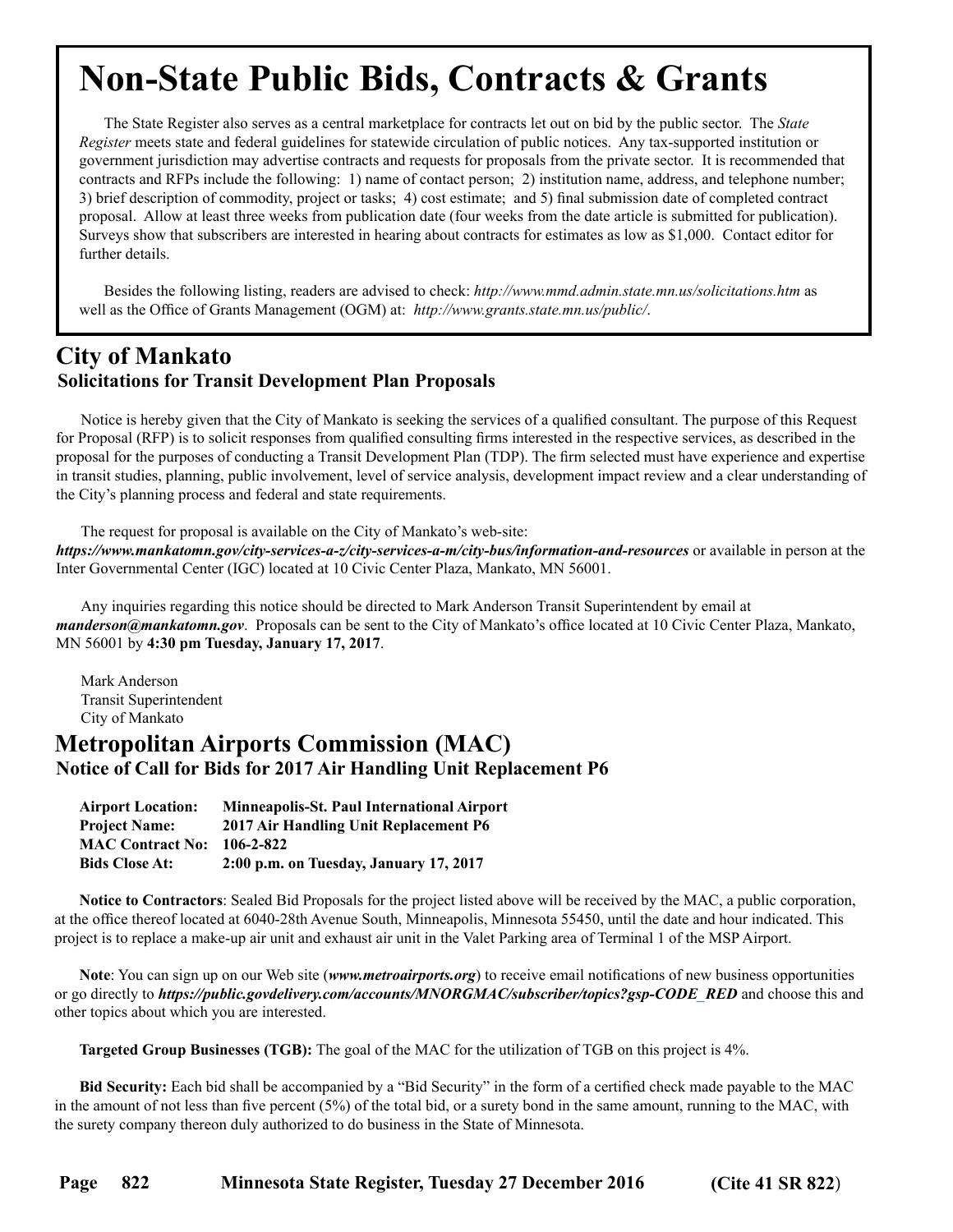## <span id="page-27-0"></span>**Non-State Public Bids, Contracts & Grants**

The State Register also serves as a central marketplace for contracts let out on bid by the public sector. The *State Register* meets state and federal guidelines for statewide circulation of public notices. Any tax-supported institution or government jurisdiction may advertise contracts and requests for proposals from the private sector. It is recommended that contracts and RFPs include the following: 1) name of contact person; 2) institution name, address, and telephone number; 3) brief description of commodity, project or tasks; 4) cost estimate; and 5) final submission date of completed contract proposal. Allow at least three weeks from publication date (four weeks from the date article is submitted for publication). Surveys show that subscribers are interested in hearing about contracts for estimates as low as \$1,000. Contact editor for further details.

Besides the following listing, readers are advised to check: *http://www.mmd.admin.state.mn.us/solicitations.htm* as well as the Office of Grants Management (OGM) at: *http://www.grants.state.mn.us/public/*.

## **City of Mankato Solicitations for Transit Development Plan Proposals**

Notice is hereby given that the City of Mankato is seeking the services of a qualified consultant. The purpose of this Request for Proposal (RFP) is to solicit responses from qualified consulting firms interested in the respective services, as described in the proposal for the purposes of conducting a Transit Development Plan (TDP). The firm selected must have experience and expertise in transit studies, planning, public involvement, level of service analysis, development impact review and a clear understanding of the City's planning process and federal and state requirements.

The request for proposal is available on the City of Mankato's web-site:

*<https://www.mankatomn.gov/city-services-a-z/city-services-a-m/city-bus/information-and-resources>* or available in person at the Inter Governmental Center (IGC) located at 10 Civic Center Plaza, Mankato, MN 56001.

Any inquiries regarding this notice should be directed to Mark Anderson Transit Superintendent by email at *manderson@mankatomn.gov*. Proposals can be sent to the City of Mankato's office located at 10 Civic Center Plaza, Mankato, MN 56001 by **4:30 pm Tuesday, January 17, 2017**.

Mark Anderson Transit Superintendent City of Mankato

## **Metropolitan Airports Commission (MAC) Notice of Call for Bids for 2017 Air Handling Unit Replacement P6**

| <b>Airport Location:</b> | <b>Minneapolis-St. Paul International Airport</b> |
|--------------------------|---------------------------------------------------|
| <b>Project Name:</b>     | 2017 Air Handling Unit Replacement P6             |
| <b>MAC Contract No:</b>  | 106-2-822                                         |
| <b>Bids Close At:</b>    | 2:00 p.m. on Tuesday, January 17, 2017            |

**Notice to Contractors**: Sealed Bid Proposals for the project listed above will be received by the MAC, a public corporation, at the office thereof located at 6040-28th Avenue South, Minneapolis, Minnesota 55450, until the date and hour indicated. This project is to replace a make-up air unit and exhaust air unit in the Valet Parking area of Terminal 1 of the MSP Airport.

**Note**: You can sign up on our Web site (*www.metroairports.org*) to receive email notifications of new business opportunities or go directly to *https://public.govdelivery.com/accounts/MNORGMAC/subscriber/topics?gsp-CODE\_RED* and choose this and other topics about which you are interested.

**Targeted Group Businesses (TGB):** The goal of the MAC for the utilization of TGB on this project is 4%.

**Bid Security:** Each bid shall be accompanied by a "Bid Security" in the form of a certified check made payable to the MAC in the amount of not less than five percent (5%) of the total bid, or a surety bond in the same amount, running to the MAC, with the surety company thereon duly authorized to do business in the State of Minnesota.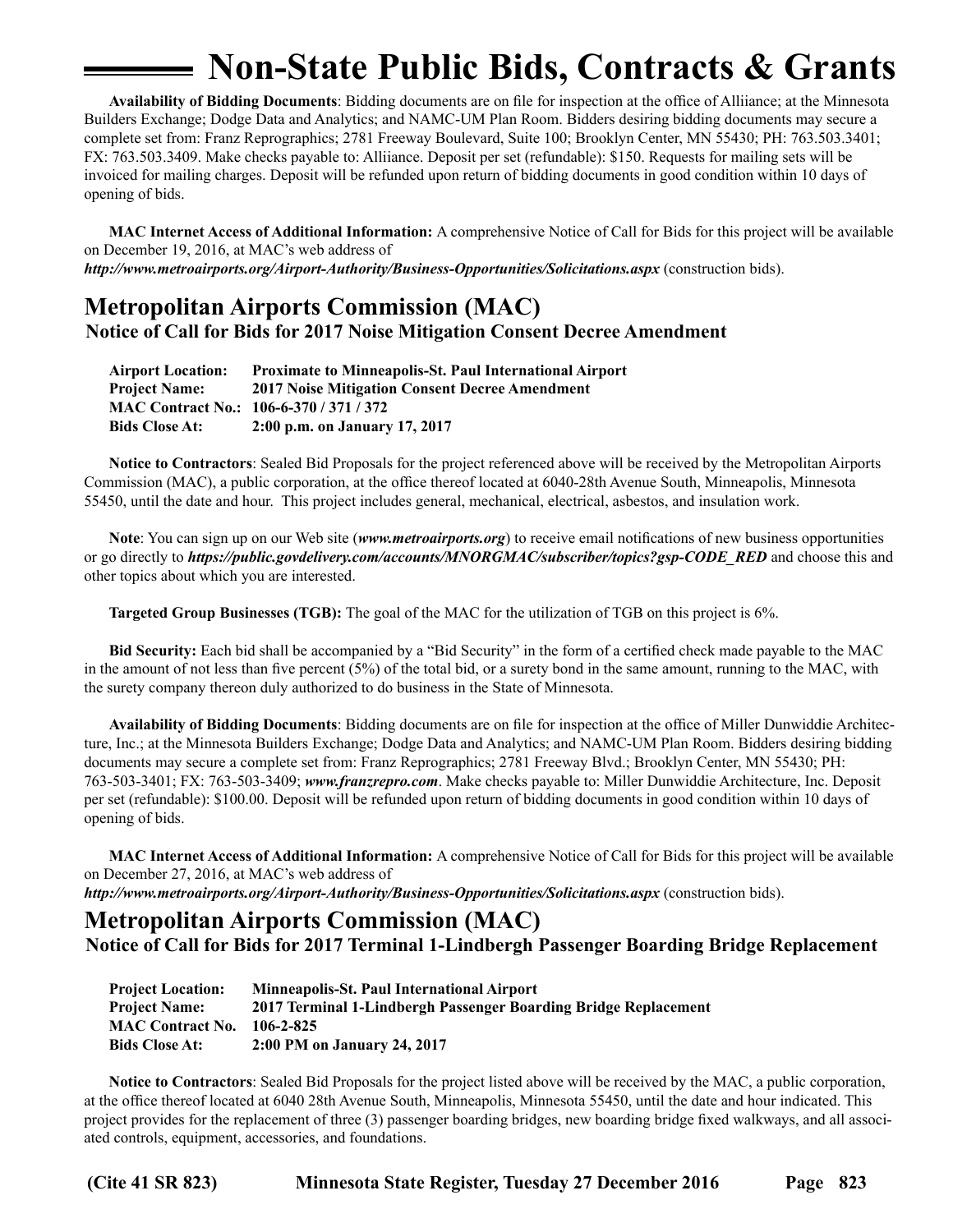## **Non-State Public Bids, Contracts & Grants**

<span id="page-28-0"></span>**Availability of Bidding Documents**: Bidding documents are on file for inspection at the office of Alliiance; at the Minnesota Builders Exchange; Dodge Data and Analytics; and NAMC-UM Plan Room. Bidders desiring bidding documents may secure a complete set from: Franz Reprographics; 2781 Freeway Boulevard, Suite 100; Brooklyn Center, MN 55430; PH: 763.503.3401; FX: 763.503.3409. Make checks payable to: Alliiance. Deposit per set (refundable): \$150. Requests for mailing sets will be invoiced for mailing charges. Deposit will be refunded upon return of bidding documents in good condition within 10 days of opening of bids.

**MAC Internet Access of Additional Information:** A comprehensive Notice of Call for Bids for this project will be available on December 19, 2016, at MAC's web address of *http://www.metroairports.org/Airport-Authority/Business-Opportunities/Solicitations.aspx* (construction bids).

## **Metropolitan Airports Commission (MAC) Notice of Call for Bids for 2017 Noise Mitigation Consent Decree Amendment**

| <b>Airport Location:</b> | <b>Proximate to Minneapolis-St. Paul International Airport</b> |
|--------------------------|----------------------------------------------------------------|
| <b>Project Name:</b>     | 2017 Noise Mitigation Consent Decree Amendment                 |
|                          | MAC Contract No.: 106-6-370 / 371 / 372                        |
| <b>Bids Close At:</b>    | 2:00 p.m. on January 17, 2017                                  |

**Notice to Contractors**: Sealed Bid Proposals for the project referenced above will be received by the Metropolitan Airports Commission (MAC), a public corporation, at the office thereof located at 6040-28th Avenue South, Minneapolis, Minnesota 55450, until the date and hour. This project includes general, mechanical, electrical, asbestos, and insulation work.

**Note**: You can sign up on our Web site (*[www.metroairports.org](http://www.metroairports.org)*) to receive email notifications of new business opportunities or go directly to *[https://public.govdelivery.com/accounts/MNORGMAC/subscriber/topics?gsp-CODE\\_](https://public.govdelivery.com/accounts/MNORGMAC/subscriber/topics?gsp-CODE)RED* and choose this and other topics about which you are interested.

**Targeted Group Businesses (TGB):** The goal of the MAC for the utilization of TGB on this project is 6%.

**Bid Security:** Each bid shall be accompanied by a "Bid Security" in the form of a certified check made payable to the MAC in the amount of not less than five percent (5%) of the total bid, or a surety bond in the same amount, running to the MAC, with the surety company thereon duly authorized to do business in the State of Minnesota.

**Availability of Bidding Documents**: Bidding documents are on file for inspection at the office of Miller Dunwiddie Architecture, Inc.; at the Minnesota Builders Exchange; Dodge Data and Analytics; and NAMC-UM Plan Room. Bidders desiring bidding documents may secure a complete set from: Franz Reprographics; 2781 Freeway Blvd.; Brooklyn Center, MN 55430; PH: 763-503-3401; FX: 763-503-3409; *[www.franzrepro.com](http://www.franzrepro.com/)*. Make checks payable to: Miller Dunwiddie Architecture, Inc. Deposit per set (refundable): \$100.00. Deposit will be refunded upon return of bidding documents in good condition within 10 days of opening of bids.

**MAC Internet Access of Additional Information:** A comprehensive Notice of Call for Bids for this project will be available on December 27, 2016, at MAC's web address of

*http://www.metroairports.org/Airport-Authority/Business-Opportunities/Solicitations.aspx* (construction bids).

## **Metropolitan Airports Commission (MAC) Notice of Call for Bids for 2017 Terminal 1-Lindbergh Passenger Boarding Bridge Replacement**

| <b>Project Location:</b> | <b>Minneapolis-St. Paul International Airport</b>               |
|--------------------------|-----------------------------------------------------------------|
| <b>Project Name:</b>     | 2017 Terminal 1-Lindbergh Passenger Boarding Bridge Replacement |
| <b>MAC Contract No.</b>  | 106-2-825                                                       |
| <b>Bids Close At:</b>    | 2:00 PM on January 24, 2017                                     |

**Notice to Contractors**: Sealed Bid Proposals for the project listed above will be received by the MAC, a public corporation, at the office thereof located at 6040 28th Avenue South, Minneapolis, Minnesota 55450, until the date and hour indicated. This project provides for the replacement of three (3) passenger boarding bridges, new boarding bridge fixed walkways, and all associated controls, equipment, accessories, and foundations.

**(Cite 41 SR 823) Minnesota State Register, Tuesday 27 December 2016 Page 823**